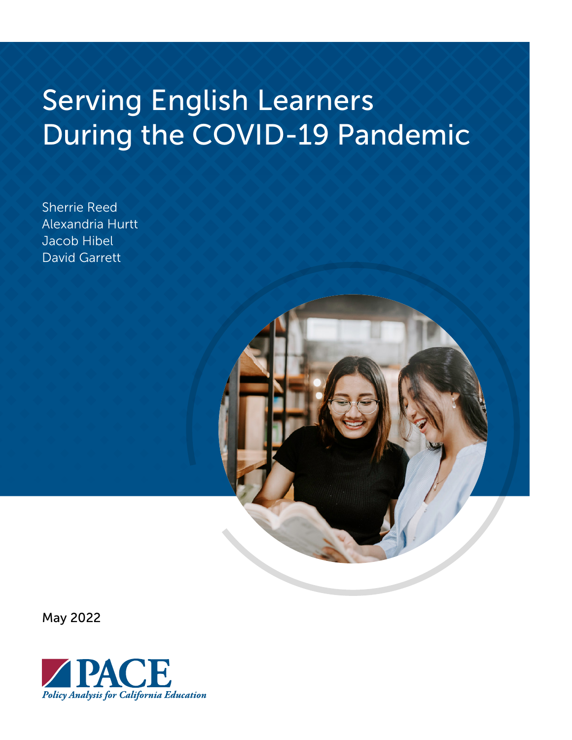# Serving English Learners During the COVID-19 Pandemic

Sherrie Reed Alexandria Hurtt Jacob Hibel David Garrett

May 2022

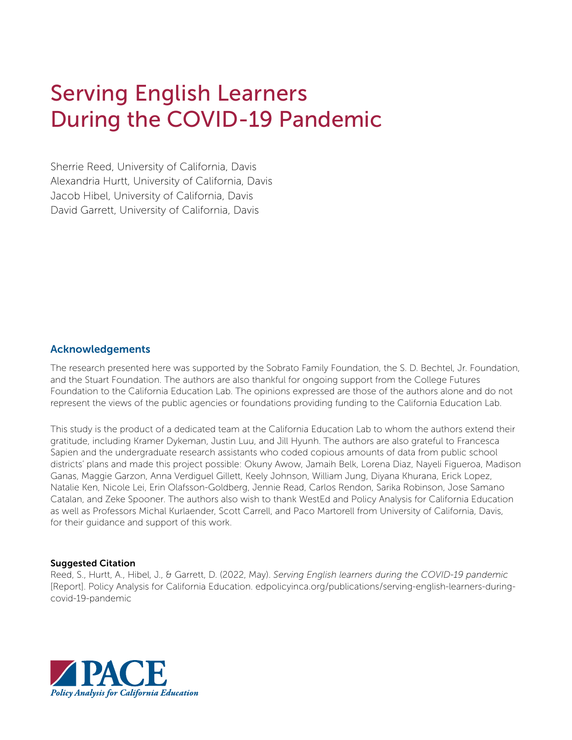## Serving English Learners During the COVID-19 Pandemic

Sherrie Reed, University of California, Davis Alexandria Hurtt, University of California, Davis Jacob Hibel, University of California, Davis David Garrett, University of California, Davis

#### Acknowledgements

The research presented here was supported by the Sobrato Family Foundation, the S. D. Bechtel, Jr. Foundation, and the Stuart Foundation. The authors are also thankful for ongoing support from the College Futures Foundation to the California Education Lab. The opinions expressed are those of the authors alone and do not represent the views of the public agencies or foundations providing funding to the California Education Lab.

This study is the product of a dedicated team at the California Education Lab to whom the authors extend their gratitude, including Kramer Dykeman, Justin Luu, and Jill Hyunh. The authors are also grateful to Francesca Sapien and the undergraduate research assistants who coded copious amounts of data from public school districts' plans and made this project possible: Okuny Awow, Jamaih Belk, Lorena Diaz, Nayeli Figueroa, Madison Ganas, Maggie Garzon, Anna Verdiguel Gillett, Keely Johnson, William Jung, Diyana Khurana, Erick Lopez, Natalie Ken, Nicole Lei, Erin Olafsson-Goldberg, Jennie Read, Carlos Rendon, Sarika Robinson, Jose Samano Catalan, and Zeke Spooner. The authors also wish to thank WestEd and Policy Analysis for California Education as well as Professors Michal Kurlaender, Scott Carrell, and Paco Martorell from University of California, Davis, for their guidance and support of this work.

#### Suggested Citation

Reed, S., Hurtt, A., Hibel, J., & Garrett, D. (2022, May). *Serving English learners during the COVID-19 pandemic* [Report]. Policy Analysis for California Education. [edpolicyinca.org/publications/serving-english-learners-during](http://edpolicyinca.org/publications/serving-english-learners-during-covid-19-pandemic)[covid-19-pandemic](http://edpolicyinca.org/publications/serving-english-learners-during-covid-19-pandemic)

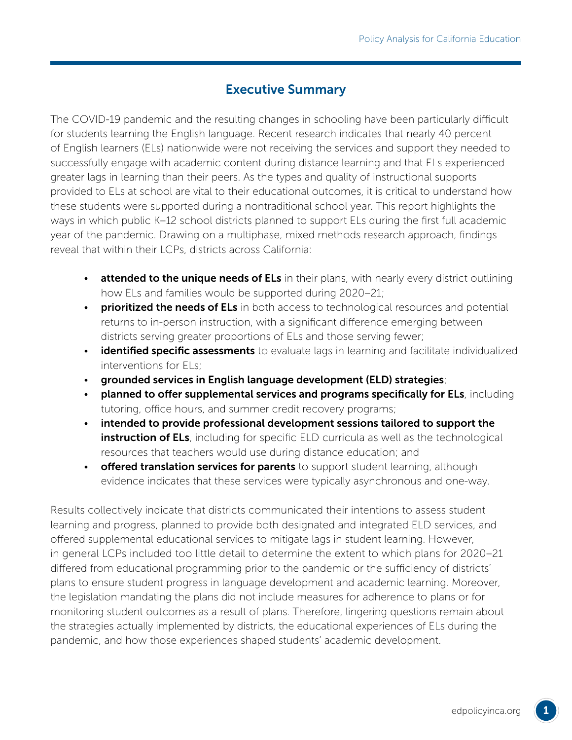## Executive Summary

The COVID-19 pandemic and the resulting changes in schooling have been particularly difficult for students learning the English language. Recent research indicates that nearly 40 percent of English learners (ELs) nationwide were not receiving the services and support they needed to successfully engage with academic content during distance learning and that ELs experienced greater lags in learning than their peers. As the types and quality of instructional supports provided to ELs at school are vital to their educational outcomes, it is critical to understand how these students were supported during a nontraditional school year. This report highlights the ways in which public K–12 school districts planned to support ELs during the first full academic year of the pandemic. Drawing on a multiphase, mixed methods research approach, findings reveal that within their LCPs, districts across California:

- attended to the unique needs of ELs in their plans, with nearly every district outlining how ELs and families would be supported during 2020–21;
- prioritized the needs of ELs in both access to technological resources and potential returns to in-person instruction, with a significant difference emerging between districts serving greater proportions of ELs and those serving fewer;
- identified specific assessments to evaluate lags in learning and facilitate individualized interventions for ELs;
- grounded services in English language development (ELD) strategies;
- planned to offer supplemental services and programs specifically for ELs, including tutoring, office hours, and summer credit recovery programs;
- intended to provide professional development sessions tailored to support the instruction of ELs, including for specific ELD curricula as well as the technological resources that teachers would use during distance education; and
- **offered translation services for parents** to support student learning, although evidence indicates that these services were typically asynchronous and one-way.

Results collectively indicate that districts communicated their intentions to assess student learning and progress, planned to provide both designated and integrated ELD services, and offered supplemental educational services to mitigate lags in student learning. However, in general LCPs included too little detail to determine the extent to which plans for 2020–21 differed from educational programming prior to the pandemic or the sufficiency of districts' plans to ensure student progress in language development and academic learning. Moreover, the legislation mandating the plans did not include measures for adherence to plans or for monitoring student outcomes as a result of plans. Therefore, lingering questions remain about the strategies actually implemented by districts, the educational experiences of ELs during the pandemic, and how those experiences shaped students' academic development.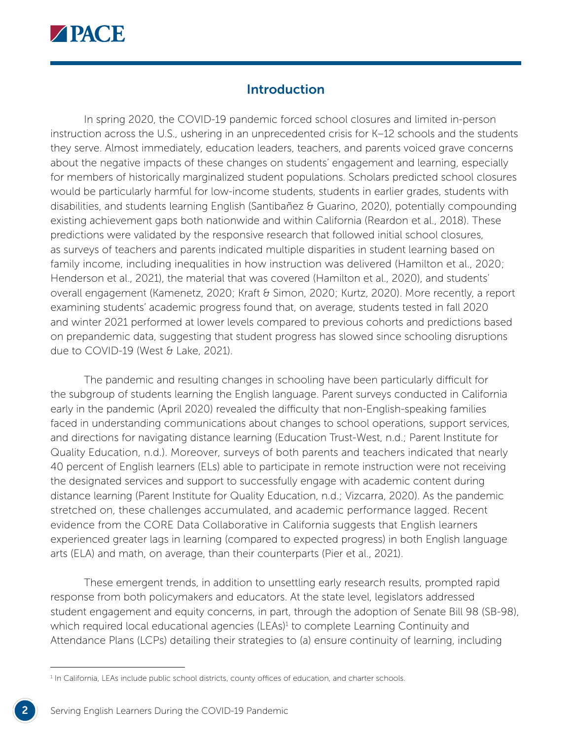

## Introduction

In spring 2020, the COVID-19 pandemic forced school closures and limited in-person instruction across the U.S., ushering in an unprecedented crisis for K–12 schools and the students they serve. Almost immediately, education leaders, teachers, and parents voiced grave concerns about the negative impacts of these changes on students' engagement and learning, especially for members of historically marginalized student populations. Scholars predicted school closures would be particularly harmful for low-income students, students in earlier grades, students with disabilities, and students learning English (Santibañez & Guarino, 2020), potentially compounding existing achievement gaps both nationwide and within California (Reardon et al., 2018). These predictions were validated by the responsive research that followed initial school closures, as surveys of teachers and parents indicated multiple disparities in student learning based on family income, including inequalities in how instruction was delivered (Hamilton et al., 2020; Henderson et al., 2021), the material that was covered (Hamilton et al., 2020), and students' overall engagement [\(Kamenetz, 2020](https://www.npr.org/sections/coronavirus-live-updates/2020/05/27/862705225/survey-shows-big-remote-learning-gaps-for-low-income-and-special-needs-children); Kraft & Simon, 2020; Kurtz, 2020). More recently, a report examining students' academic progress found that, on average, students tested in fall 2020 and winter 2021 performed at lower levels compared to previous cohorts and predictions based on prepandemic data, suggesting that student progress has slowed since schooling disruptions due to COVID-19 (West & Lake, 2021).

The pandemic and resulting changes in schooling have been particularly difficult for the subgroup of students learning the English language. Parent surveys conducted in California early in the pandemic (April 2020) revealed the difficulty that non-English-speaking families faced in understanding communications about changes to school operations, support services, and directions for navigating distance learning (Education Trust-West, n.d.; Parent Institute for Quality Education, n.d.). Moreover, surveys of both parents and teachers indicated that nearly 40 percent of English learners (ELs) able to participate in remote instruction were not receiving the designated services and support to successfully engage with academic content during distance learning (Parent Institute for Quality Education, n.d.; Vizcarra, 2020). As the pandemic stretched on, these challenges accumulated, and academic performance lagged. Recent evidence from the CORE Data Collaborative in California suggests that English learners experienced greater lags in learning (compared to expected progress) in both English language arts (ELA) and math, on average, than their counterparts (Pier et al., 2021).

These emergent trends, in addition to unsettling early research results, prompted rapid response from both policymakers and educators. At the state level, legislators addressed student engagement and equity concerns, in part, through the adoption of Senate Bill 98 (SB-98), which required local educational agencies (LEAs)<sup>1</sup> to complete Learning Continuity and Attendance Plans (LCPs) detailing their strategies to (a) ensure continuity of learning, including

<sup>&</sup>lt;sup>1</sup> In California, LEAs include public school districts, county offices of education, and charter schools.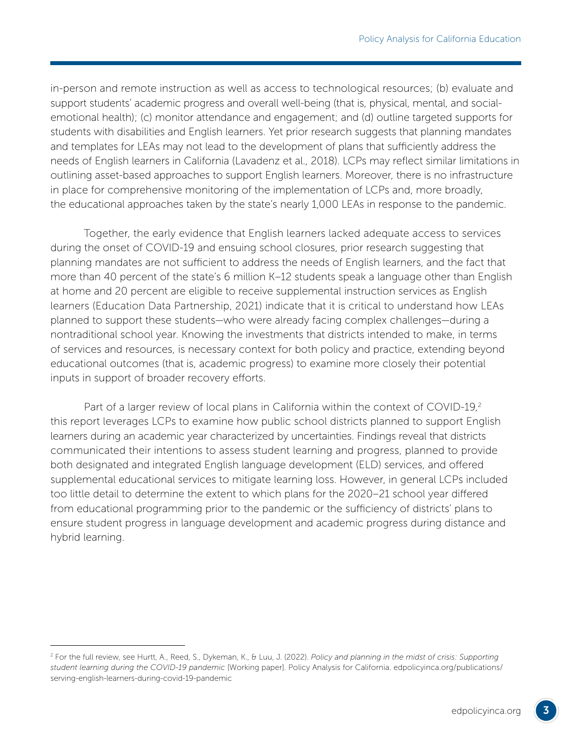in-person and remote instruction as well as access to technological resources; (b) evaluate and support students' academic progress and overall well-being (that is, physical, mental, and socialemotional health); (c) monitor attendance and engagement; and (d) outline targeted supports for students with disabilities and English learners. Yet prior research suggests that planning mandates and templates for LEAs may not lead to the development of plans that sufficiently address the needs of English learners in California (Lavadenz et al., 2018). LCPs may reflect similar limitations in outlining asset-based approaches to support English learners. Moreover, there is no infrastructure in place for comprehensive monitoring of the implementation of LCPs and, more broadly, the educational approaches taken by the state's nearly 1,000 LEAs in response to the pandemic.

Together, the early evidence that English learners lacked adequate access to services during the onset of COVID-19 and ensuing school closures, prior research suggesting that planning mandates are not sufficient to address the needs of English learners, and the fact that more than 40 percent of the state's 6 million K–12 students speak a language other than English at home and 20 percent are eligible to receive supplemental instruction services as English learners (Education Data Partnership, 2021) indicate that it is critical to understand how LEAs planned to support these students—who were already facing complex challenges—during a nontraditional school year. Knowing the investments that districts intended to make, in terms of services and resources, is necessary context for both policy and practice, extending beyond educational outcomes (that is, academic progress) to examine more closely their potential inputs in support of broader recovery efforts.

Part of a larger review of local plans in California within the context of COVID-19,<sup>2</sup> this report leverages LCPs to examine how public school districts planned to support English learners during an academic year characterized by uncertainties. Findings reveal that districts communicated their intentions to assess student learning and progress, planned to provide both designated and integrated English language development (ELD) services, and offered supplemental educational services to mitigate learning loss. However, in general LCPs included too little detail to determine the extent to which plans for the 2020–21 school year differed from educational programming prior to the pandemic or the sufficiency of districts' plans to ensure student progress in language development and academic progress during distance and hybrid learning.

<sup>2</sup> For the full review, see Hurtt, A., Reed, S., Dykeman, K., & Luu, J. (2022). *Policy and planning in the midst of crisis: Supporting student learning during the COVID-19 pandemic* [Working paper]. Policy Analysis for California. [edpolicyinca.org/publications/](http://edpolicyinca.org/publications/serving-english-learners-during-covid-19-pandemic) [serving-english-learners-during-covid-19-pandemic](http://edpolicyinca.org/publications/serving-english-learners-during-covid-19-pandemic)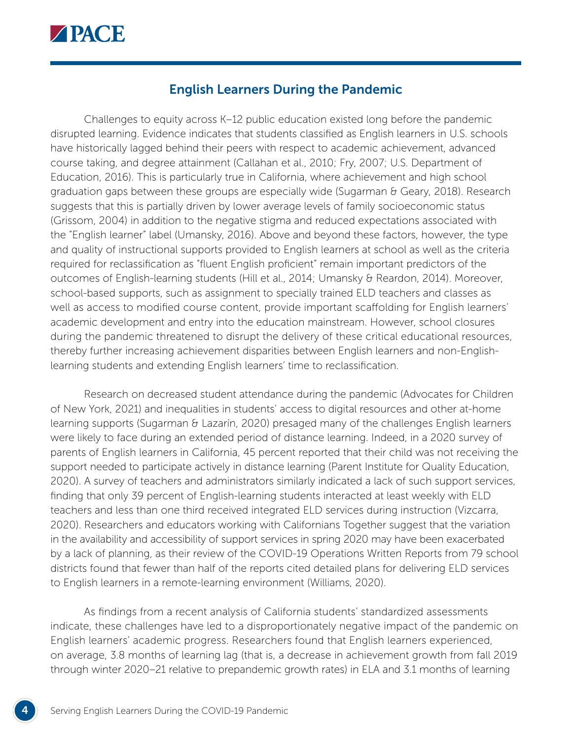

## English Learners During the Pandemic

Challenges to equity across K–12 public education existed long before the pandemic disrupted learning. Evidence indicates that students classified as English learners in U.S. schools have historically lagged behind their peers with respect to academic achievement, advanced course taking, and degree attainment (Callahan et al., 2010; Fry, 2007; U.S. Department of Education, 2016). This is particularly true in California, where achievement and high school graduation gaps between these groups are especially wide (Sugarman  $\theta$  Geary, 2018). Research suggests that this is partially driven by lower average levels of family socioeconomic status (Grissom, 2004) in addition to the negative stigma and reduced expectations associated with the "English learner" label (Umansky, 2016). Above and beyond these factors, however, the type and quality of instructional supports provided to English learners at school as well as the criteria required for reclassification as "fluent English proficient" remain important predictors of the outcomes of English-learning students (Hill et al., 2014; Umansky & Reardon, 2014). Moreover, school-based supports, such as assignment to specially trained ELD teachers and classes as well as access to modified course content, provide important scaffolding for English learners' academic development and entry into the education mainstream. However, school closures during the pandemic threatened to disrupt the delivery of these critical educational resources, thereby further increasing achievement disparities between English learners and non-Englishlearning students and extending English learners' time to reclassification.

Research on decreased student attendance during the pandemic (Advocates for Children of New York, 2021) and inequalities in students' access to digital resources and other at-home learning supports (Sugarman & Lazarín, 2020) presaged many of the challenges English learners were likely to face during an extended period of distance learning. Indeed, in a 2020 survey of parents of English learners in California, 45 percent reported that their child was not receiving the support needed to participate actively in distance learning (Parent Institute for Quality Education, 2020). A survey of teachers and administrators similarly indicated a lack of such support services, finding that only 39 percent of English-learning students interacted at least weekly with ELD teachers and less than one third received integrated ELD services during instruction (Vizcarra, 2020). Researchers and educators working with Californians Together suggest that the variation in the availability and accessibility of support services in spring 2020 may have been exacerbated by a lack of planning, as their review of the COVID-19 Operations Written Reports from 79 school districts found that fewer than half of the reports cited detailed plans for delivering ELD services to English learners in a remote-learning environment (Williams, 2020).

As findings from a recent analysis of California students' standardized assessments indicate, these challenges have led to a disproportionately negative impact of the pandemic on English learners' academic progress. Researchers found that English learners experienced, on average, 3.8 months of learning lag (that is, a decrease in achievement growth from fall 2019 through winter 2020–21 relative to prepandemic growth rates) in ELA and 3.1 months of learning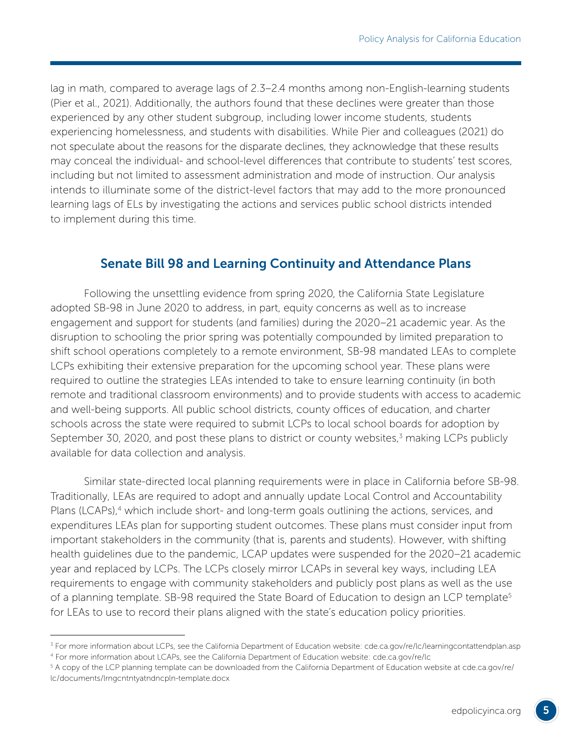lag in math, compared to average lags of 2.3–2.4 months among non-English-learning students (Pier et al., 2021). Additionally, the authors found that these declines were greater than those experienced by any other student subgroup, including lower income students, students experiencing homelessness, and students with disabilities. While Pier and colleagues (2021) do not speculate about the reasons for the disparate declines, they acknowledge that these results may conceal the individual- and school-level differences that contribute to students' test scores, including but not limited to assessment administration and mode of instruction. Our analysis intends to illuminate some of the district-level factors that may add to the more pronounced learning lags of ELs by investigating the actions and services public school districts intended to implement during this time.

## Senate Bill 98 and Learning Continuity and Attendance Plans

Following the unsettling evidence from spring 2020, the California State Legislature adopted SB-98 in June 2020 to address, in part, equity concerns as well as to increase engagement and support for students (and families) during the 2020–21 academic year. As the disruption to schooling the prior spring was potentially compounded by limited preparation to shift school operations completely to a remote environment, SB-98 mandated LEAs to complete LCPs exhibiting their extensive preparation for the upcoming school year. These plans were required to outline the strategies LEAs intended to take to ensure learning continuity (in both remote and traditional classroom environments) and to provide students with access to academic and well-being supports. All public school districts, county offices of education, and charter schools across the state were required to submit LCPs to local school boards for adoption by September 30, 2020, and post these plans to district or county websites,<sup>3</sup> making LCPs publicly available for data collection and analysis.

Similar state-directed local planning requirements were in place in California before SB-98. Traditionally, LEAs are required to adopt and annually update Local Control and Accountability Plans (LCAPs),<sup>4</sup> which include short- and long-term goals outlining the actions, services, and expenditures LEAs plan for supporting student outcomes. These plans must consider input from important stakeholders in the community (that is, parents and students). However, with shifting health guidelines due to the pandemic, LCAP updates were suspended for the 2020–21 academic year and replaced by LCPs. The LCPs closely mirror LCAPs in several key ways, including LEA requirements to engage with community stakeholders and publicly post plans as well as the use of a planning template. SB-98 required the State Board of Education to design an LCP template<sup>5</sup> for LEAs to use to record their plans aligned with the state's education policy priorities.

<sup>&</sup>lt;sup>3</sup> For more information about LCPs, see the California Department of Education website: [cde.ca.gov/re/lc/learningcontattendplan.asp](https://www.cde.ca.gov/re/lc/learningcontattendplan.asp) 4 For more information about LCAPs, see the California Department of Education website: [cde.ca.gov/re/lc](https://www.cde.ca.gov/re/lc)

<sup>5</sup> A copy of the LCP planning template can be downloaded from the California Department of Education website at [cde.ca.gov/re/](https://www.cde.ca.gov/re/lc/documents/lrngcntntyatndncpln-template.docx) [lc/documents/lrngcntntyatndncpln-template.docx](https://www.cde.ca.gov/re/lc/documents/lrngcntntyatndncpln-template.docx)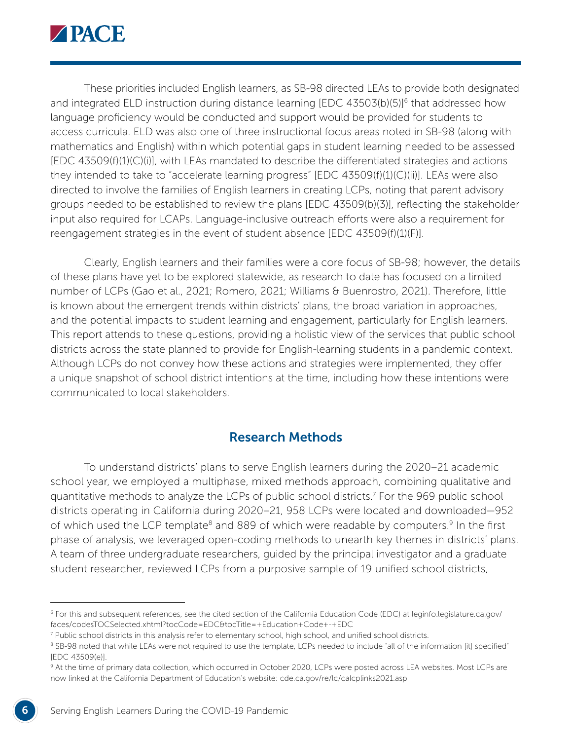

These priorities included English learners, as SB-98 directed LEAs to provide both designated and integrated ELD instruction during distance learning [EDC 43503(b)(5)]<sup>6</sup> that addressed how language proficiency would be conducted and support would be provided for students to access curricula. ELD was also one of three instructional focus areas noted in SB-98 (along with mathematics and English) within which potential gaps in student learning needed to be assessed [EDC 43509(f)(1)(C)(i)], with LEAs mandated to describe the differentiated strategies and actions they intended to take to "accelerate learning progress" [EDC 43509(f)(1)(C)(ii)]. LEAs were also directed to involve the families of English learners in creating LCPs, noting that parent advisory groups needed to be established to review the plans [EDC 43509(b)(3)], reflecting the stakeholder input also required for LCAPs. Language-inclusive outreach efforts were also a requirement for reengagement strategies in the event of student absence [EDC 43509(f)(1)(F)].

Clearly, English learners and their families were a core focus of SB-98; however, the details of these plans have yet to be explored statewide, as research to date has focused on a limited number of LCPs (Gao et al., 2021; Romero, 2021; Williams & Buenrostro, 2021). Therefore, little is known about the emergent trends within districts' plans, the broad variation in approaches, and the potential impacts to student learning and engagement, particularly for English learners. This report attends to these questions, providing a holistic view of the services that public school districts across the state planned to provide for English-learning students in a pandemic context. Although LCPs do not convey how these actions and strategies were implemented, they offer a unique snapshot of school district intentions at the time, including how these intentions were communicated to local stakeholders.

### Research Methods

To understand districts' plans to serve English learners during the 2020–21 academic school year, we employed a multiphase, mixed methods approach, combining qualitative and quantitative methods to analyze the LCPs of public school districts.7 For the 969 public school districts operating in California during 2020–21, 958 LCPs were located and downloaded—952 of which used the LCP template<sup>8</sup> and 889 of which were readable by computers.<sup>9</sup> In the first phase of analysis, we leveraged open-coding methods to unearth key themes in districts' plans. A team of three undergraduate researchers, guided by the principal investigator and a graduate student researcher, reviewed LCPs from a purposive sample of 19 unified school districts,

<sup>6</sup> For this and subsequent references, see the cited section of the California Education Code (EDC) at [leginfo.legislature.ca.gov/](https://leginfo.legislature.ca.gov/faces/codesTOCSelected.xhtml?tocCode=EDC&tocTitle=+Education+Code+-+EDC) [faces/codesTOCSelected.xhtml?tocCode=EDC&tocTitle=+Education+Code+-+EDC](https://leginfo.legislature.ca.gov/faces/codesTOCSelected.xhtml?tocCode=EDC&tocTitle=+Education+Code+-+EDC)

<sup>7</sup> Public school districts in this analysis refer to elementary school, high school, and unified school districts.

<sup>&</sup>lt;sup>8</sup> SB-98 noted that while LEAs were not required to use the template, LCPs needed to include "all of the information [it] specified" [EDC 43509(e)].

<sup>9</sup> At the time of primary data collection, which occurred in October 2020, LCPs were posted across LEA websites. Most LCPs are now linked at the California Department of Education's website: [cde.ca.gov/re/lc/calcplinks2021.asp](http://www.cde.ca.gov/re/lc/calcplinks2021.asp)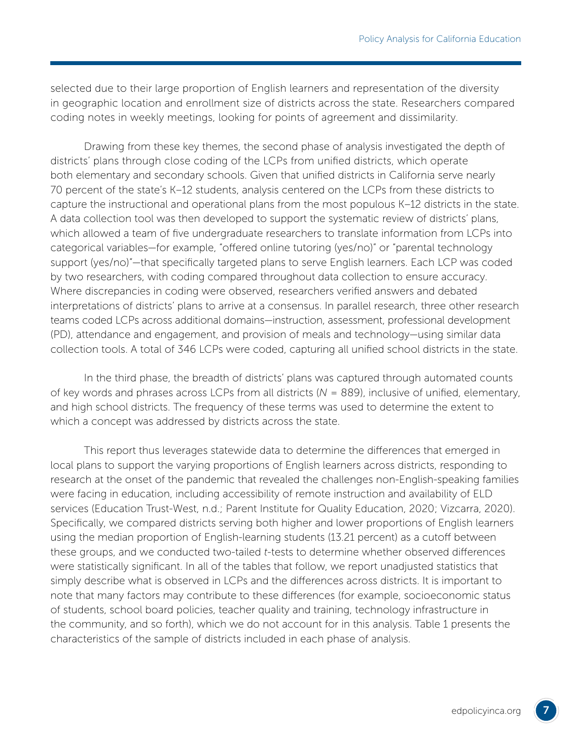selected due to their large proportion of English learners and representation of the diversity in geographic location and enrollment size of districts across the state. Researchers compared coding notes in weekly meetings, looking for points of agreement and dissimilarity.

Drawing from these key themes, the second phase of analysis investigated the depth of districts' plans through close coding of the LCPs from unified districts, which operate both elementary and secondary schools. Given that unified districts in California serve nearly 70 percent of the state's K–12 students, analysis centered on the LCPs from these districts to capture the instructional and operational plans from the most populous K–12 districts in the state. A data collection tool was then developed to support the systematic review of districts' plans, which allowed a team of five undergraduate researchers to translate information from LCPs into categorical variables—for example, "offered online tutoring (yes/no)" or "parental technology support (yes/no)"—that specifically targeted plans to serve English learners. Each LCP was coded by two researchers, with coding compared throughout data collection to ensure accuracy. Where discrepancies in coding were observed, researchers verified answers and debated interpretations of districts' plans to arrive at a consensus. In parallel research, three other research teams coded LCPs across additional domains—instruction, assessment, professional development (PD), attendance and engagement, and provision of meals and technology—using similar data collection tools. A total of 346 LCPs were coded, capturing all unified school districts in the state.

In the third phase, the breadth of districts' plans was captured through automated counts of key words and phrases across LCPs from all districts (*N* = 889), inclusive of unified, elementary, and high school districts. The frequency of these terms was used to determine the extent to which a concept was addressed by districts across the state.

This report thus leverages statewide data to determine the differences that emerged in local plans to support the varying proportions of English learners across districts, responding to research at the onset of the pandemic that revealed the challenges non-English-speaking families were facing in education, including accessibility of remote instruction and availability of ELD services (Education Trust-West, n.d.; Parent Institute for Quality Education, 2020; Vizcarra, 2020). Specifically, we compared districts serving both higher and lower proportions of English learners using the median proportion of English-learning students (13.21 percent) as a cutoff between these groups, and we conducted two-tailed *t*-tests to determine whether observed differences were statistically significant. In all of the tables that follow, we report unadjusted statistics that simply describe what is observed in LCPs and the differences across districts. It is important to note that many factors may contribute to these differences (for example, socioeconomic status of students, school board policies, teacher quality and training, technology infrastructure in the community, and so forth), which we do not account for in this analysis. Table 1 presents the characteristics of the sample of districts included in each phase of analysis.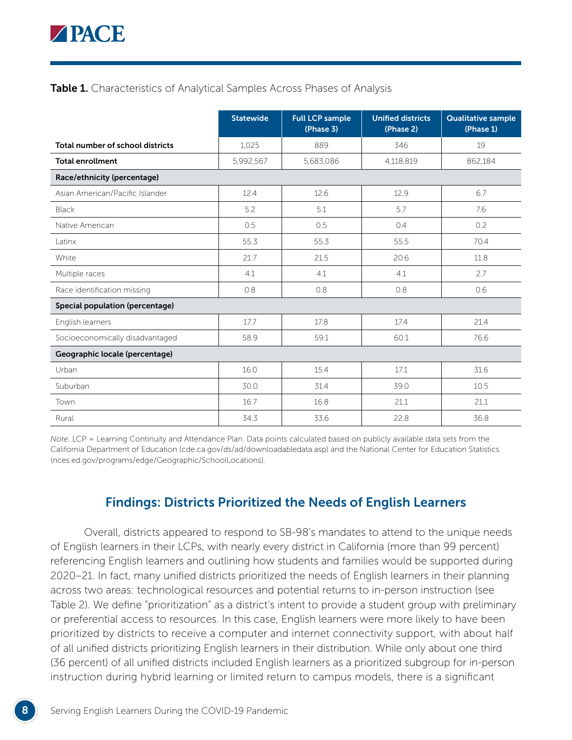

#### Table 1. Characteristics of Analytical Samples Across Phases of Analysis

|                                  | <b>Statewide</b> | <b>Full LCP sample</b><br>(Phase 3) | <b>Unified districts</b><br>(Phase 2) | <b>Qualitative sample</b><br>(Phase 1) |
|----------------------------------|------------------|-------------------------------------|---------------------------------------|----------------------------------------|
| Total number of school districts | 1,025            | 889                                 | 346                                   | 19                                     |
| <b>Total enrollment</b>          | 5,992,567        | 5,683,086                           | 4,118,819                             | 862,184                                |
| Race/ethnicity (percentage)      |                  |                                     |                                       |                                        |
| Asian American/Pacific Islander  | 12.4             | 12.6                                | 12.9                                  | 6.7                                    |
| <b>Black</b>                     | 5.2              | 5.1                                 | 5.7                                   | 7.6                                    |
| Native American                  | 0.5              | 0.5                                 | 0.4                                   | 0.2                                    |
| Latinx                           | 55.3             | 55.3                                | 55.5                                  | 70.4                                   |
| White                            | 21.7             | 21.5                                | 20.6                                  | 11.8                                   |
| Multiple races                   | 4.1              | 4.1                                 | 4.1                                   | 2.7                                    |
| Race identification missing      | 0.8              | 0.8                                 | 0.8                                   | 0.6                                    |
| Special population (percentage)  |                  |                                     |                                       |                                        |
| English learners                 | 17.7             | 17.8                                | 17.4                                  | 21.4                                   |
| Socioeconomically disadvantaged  | 58.9             | 59.1                                | 60.1                                  | 76.6                                   |
| Geographic locale (percentage)   |                  |                                     |                                       |                                        |
| Urban                            | 16.0             | 15.4                                | 17.1                                  | 31.6                                   |
| Suburban                         | 30.0             | 31.4                                | 39.0                                  | 10.5                                   |
| Town                             | 16.7             | 16.8                                | 21.1                                  | 21.1                                   |
| Rural                            | 34.3             | 33.6                                | 22.8                                  | 36.8                                   |

*Note.* LCP = Learning Continuity and Attendance Plan. Data points calculated based on publicly available data sets from the California Department of Education [\(cde.ca.gov/ds/ad/downloadabledata.asp](https://www.cde.ca.gov/ds/ad/downloadabledata.asp)) and the National Center for Education Statistics [\(nces.ed.gov/programs/edge/Geographic/SchoolLocations\)](https://nces.ed.gov/programs/edge/Geographic/SchoolLocations).

## Findings: Districts Prioritized the Needs of English Learners

Overall, districts appeared to respond to SB-98's mandates to attend to the unique needs of English learners in their LCPs, with nearly every district in California (more than 99 percent) referencing English learners and outlining how students and families would be supported during 2020–21. In fact, many unified districts prioritized the needs of English learners in their planning across two areas: technological resources and potential returns to in-person instruction (see Table 2). We define "prioritization" as a district's intent to provide a student group with preliminary or preferential access to resources. In this case, English learners were more likely to have been prioritized by districts to receive a computer and internet connectivity support, with about half of all unified districts prioritizing English learners in their distribution. While only about one third (36 percent) of all unified districts included English learners as a prioritized subgroup for in-person instruction during hybrid learning or limited return to campus models, there is a significant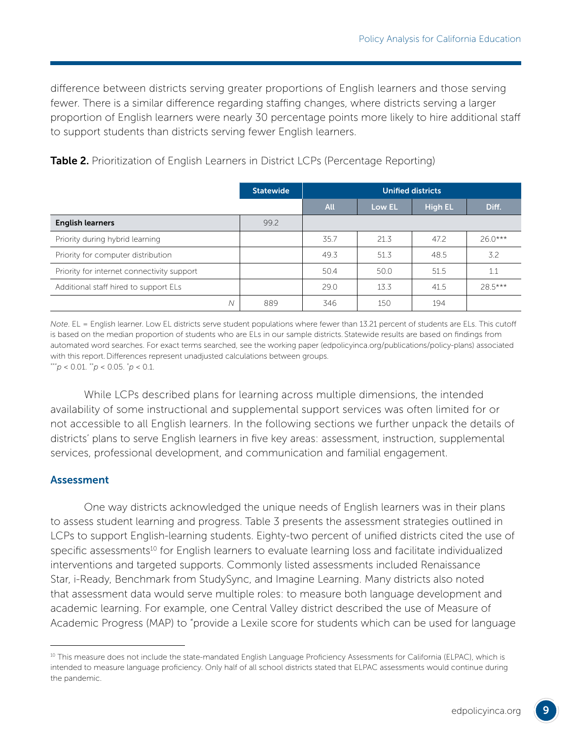difference between districts serving greater proportions of English learners and those serving fewer. There is a similar difference regarding staffing changes, where districts serving a larger proportion of English learners were nearly 30 percentage points more likely to hire additional staff to support students than districts serving fewer English learners.

|                                            | <b>Statewide</b> | <b>Unified districts</b> |        |                |          |
|--------------------------------------------|------------------|--------------------------|--------|----------------|----------|
|                                            |                  | <b>All</b>               | Low EL | <b>High EL</b> | Diff.    |
| <b>English learners</b>                    | 99.2             |                          |        |                |          |
| Priority during hybrid learning            |                  | 35.7                     | 21.3   | 47.2           | $260***$ |
| Priority for computer distribution         |                  | 49.3                     | 51.3   | 48.5           | 3.2      |
| Priority for internet connectivity support |                  | 50.4                     | 50.0   | 51.5           | 1.1      |
| Additional staff hired to support ELs      |                  | 29.0                     | 13.3   | 41.5           | 28.5***  |
| Ν                                          | 889              | 346                      | 150    | 194            |          |

**Table 2.** Prioritization of English Learners in District LCPs (Percentage Reporting)

*Note*. EL = English learner. Low EL districts serve student populations where fewer than 13.21 percent of students are ELs. This cutoff is based on the median proportion of students who are ELs in our sample districts. Statewide results are based on findings from automated word searches. For exact terms searched, see the working paper ([edpolicyinca.org/publications/policy-plans\)](http://edpolicyinca.org/publications/policy-plans) associated with this report. Differences represent unadjusted calculations between groups. \*\*\**p* < 0.01. \*\**p* < 0.05. \* *p* < 0.1.

While LCPs described plans for learning across multiple dimensions, the intended availability of some instructional and supplemental support services was often limited for or not accessible to all English learners. In the following sections we further unpack the details of districts' plans to serve English learners in five key areas: assessment, instruction, supplemental services, professional development, and communication and familial engagement.

#### Assessment

One way districts acknowledged the unique needs of English learners was in their plans to assess student learning and progress. Table 3 presents the assessment strategies outlined in LCPs to support English-learning students. Eighty-two percent of unified districts cited the use of specific assessments<sup>10</sup> for English learners to evaluate learning loss and facilitate individualized interventions and targeted supports. Commonly listed assessments included Renaissance Star, i-Ready, Benchmark from StudySync, and Imagine Learning. Many districts also noted that assessment data would serve multiple roles: to measure both language development and academic learning. For example, one Central Valley district described the use of Measure of Academic Progress (MAP) to "provide a Lexile score for students which can be used for language

<sup>&</sup>lt;sup>10</sup> This measure does not include the state-mandated English Language Proficiency Assessments for California (ELPAC), which is intended to measure language proficiency. Only half of all school districts stated that ELPAC assessments would continue during the pandemic.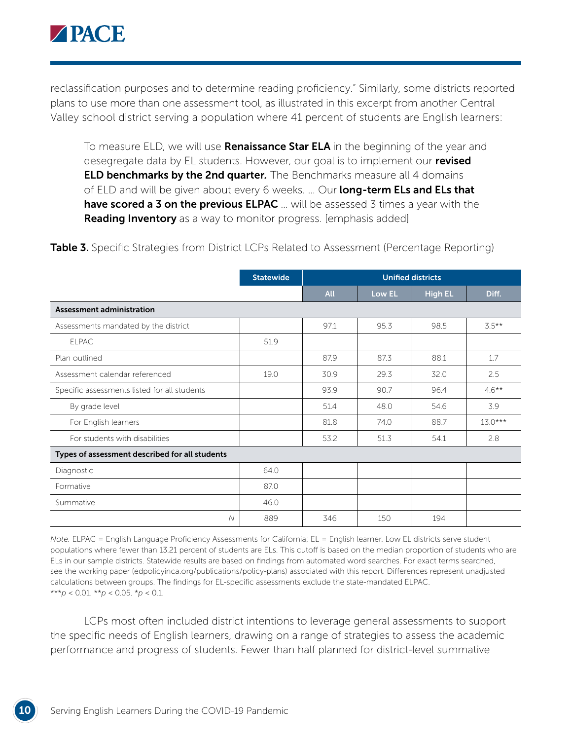

reclassification purposes and to determine reading proficiency." Similarly, some districts reported plans to use more than one assessment tool, as illustrated in this excerpt from another Central Valley school district serving a population where 41 percent of students are English learners:

To measure ELD, we will use **Renaissance Star ELA** in the beginning of the year and desegregate data by EL students. However, our goal is to implement our revised ELD benchmarks by the 2nd quarter*.* The Benchmarks measure all 4 domains of ELD and will be given about every 6 weeks. ... Our long-term ELs and ELs that **have scored a 3 on the previous ELPAC** ... will be assessed 3 times a year with the **Reading Inventory** as a way to monitor progress. [emphasis added]

|                                                | <b>Statewide</b> | <b>Unified districts</b> |        |                |           |
|------------------------------------------------|------------------|--------------------------|--------|----------------|-----------|
|                                                |                  | <b>All</b>               | Low EL | <b>High EL</b> | Diff.     |
| Assessment administration                      |                  |                          |        |                |           |
| Assessments mandated by the district           |                  | 97.1                     | 95.3   | 98.5           | $3.5***$  |
| <b>ELPAC</b>                                   | 51.9             |                          |        |                |           |
| Plan outlined                                  |                  | 87.9                     | 87.3   | 88.1           | 1.7       |
| Assessment calendar referenced                 | 19.0             | 30.9                     | 29.3   | 32.0           | 2.5       |
| Specific assessments listed for all students   |                  | 93.9                     | 90.7   | 96.4           | $4.6***$  |
| By grade level                                 |                  | 51.4                     | 48.0   | 54.6           | 3.9       |
| For English learners                           |                  | 81.8                     | 74.0   | 88.7           | $13.0***$ |
| For students with disabilities                 |                  | 53.2                     | 51.3   | 54.1           | 2.8       |
| Types of assessment described for all students |                  |                          |        |                |           |
| Diagnostic                                     | 64.0             |                          |        |                |           |
| Formative                                      | 87.0             |                          |        |                |           |
| Summative                                      | 46.0             |                          |        |                |           |
| $\mathcal N$                                   | 889              | 346                      | 150    | 194            |           |

Table 3. Specific Strategies from District LCPs Related to Assessment (Percentage Reporting)

*Note.* ELPAC = English Language Proficiency Assessments for California; EL = English learner. Low EL districts serve student populations where fewer than 13.21 percent of students are ELs. This cutoff is based on the median proportion of students who are ELs in our sample districts. Statewide results are based on findings from automated word searches. For exact terms searched, see the working paper ([edpolicyinca.org/publications/policy-plans](http://edpolicyinca.org/publications/policy-plans)) associated with this report. Differences represent unadjusted calculations between groups. The findings for EL-specific assessments exclude the state-mandated ELPAC. \*\*\**p* < 0.01. \*\**p* < 0.05. \**p* < 0.1.

LCPs most often included district intentions to leverage general assessments to support the specific needs of English learners, drawing on a range of strategies to assess the academic performance and progress of students. Fewer than half planned for district-level summative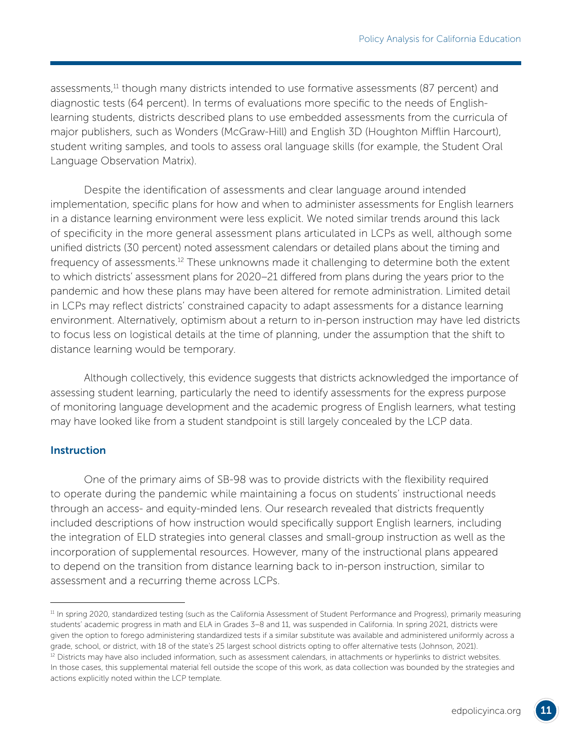assessments,<sup>11</sup> though many districts intended to use formative assessments (87 percent) and diagnostic tests (64 percent). In terms of evaluations more specific to the needs of Englishlearning students, districts described plans to use embedded assessments from the curricula of major publishers, such as Wonders (McGraw-Hill) and English 3D (Houghton Mifflin Harcourt), student writing samples, and tools to assess oral language skills (for example, the Student Oral Language Observation Matrix).

Despite the identification of assessments and clear language around intended implementation, specific plans for how and when to administer assessments for English learners in a distance learning environment were less explicit. We noted similar trends around this lack of specificity in the more general assessment plans articulated in LCPs as well, although some unified districts (30 percent) noted assessment calendars or detailed plans about the timing and frequency of assessments.12 These unknowns made it challenging to determine both the extent to which districts' assessment plans for 2020–21 differed from plans during the years prior to the pandemic and how these plans may have been altered for remote administration. Limited detail in LCPs may reflect districts' constrained capacity to adapt assessments for a distance learning environment. Alternatively, optimism about a return to in-person instruction may have led districts to focus less on logistical details at the time of planning, under the assumption that the shift to distance learning would be temporary.

Although collectively, this evidence suggests that districts acknowledged the importance of assessing student learning, particularly the need to identify assessments for the express purpose of monitoring language development and the academic progress of English learners, what testing may have looked like from a student standpoint is still largely concealed by the LCP data.

#### **Instruction**

One of the primary aims of SB-98 was to provide districts with the flexibility required to operate during the pandemic while maintaining a focus on students' instructional needs through an access- and equity-minded lens. Our research revealed that districts frequently included descriptions of how instruction would specifically support English learners, including the integration of ELD strategies into general classes and small-group instruction as well as the incorporation of supplemental resources. However, many of the instructional plans appeared to depend on the transition from distance learning back to in-person instruction, similar to assessment and a recurring theme across LCPs.

<sup>&</sup>lt;sup>11</sup> In spring 2020, standardized testing (such as the California Assessment of Student Performance and Progress), primarily measuring students' academic progress in math and ELA in Grades 3–8 and 11, was suspended in California. In spring 2021, districts were given the option to forego administering standardized tests if a similar substitute was available and administered uniformly across a grade, school, or district, with 18 of the state's 25 largest school districts opting to offer alternative tests (Johnson, 2021).

<sup>&</sup>lt;sup>12</sup> Districts may have also included information, such as assessment calendars, in attachments or hyperlinks to district websites. In those cases, this supplemental material fell outside the scope of this work, as data collection was bounded by the strategies and actions explicitly noted within the LCP template.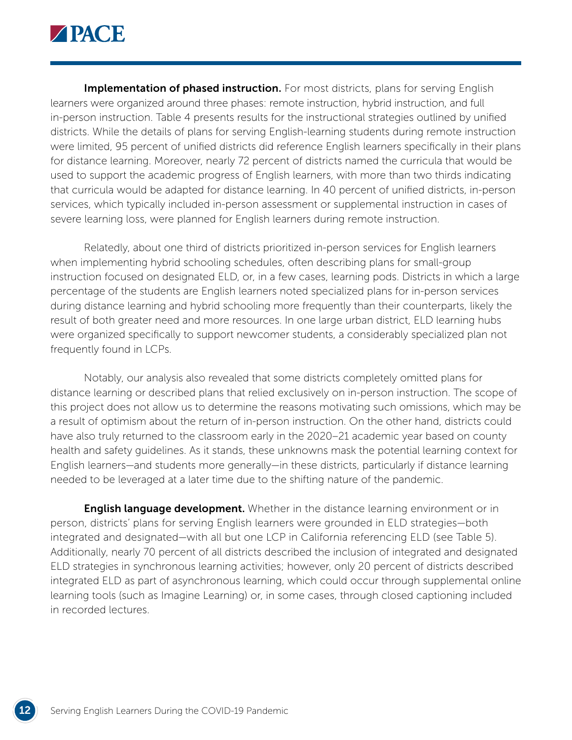

Implementation of phased instruction. For most districts, plans for serving English learners were organized around three phases: remote instruction, hybrid instruction, and full in-person instruction. Table 4 presents results for the instructional strategies outlined by unified districts. While the details of plans for serving English-learning students during remote instruction were limited, 95 percent of unified districts did reference English learners specifically in their plans for distance learning. Moreover, nearly 72 percent of districts named the curricula that would be used to support the academic progress of English learners, with more than two thirds indicating that curricula would be adapted for distance learning. In 40 percent of unified districts, in-person services, which typically included in-person assessment or supplemental instruction in cases of severe learning loss, were planned for English learners during remote instruction.

Relatedly, about one third of districts prioritized in-person services for English learners when implementing hybrid schooling schedules, often describing plans for small-group instruction focused on designated ELD, or, in a few cases, learning pods. Districts in which a large percentage of the students are English learners noted specialized plans for in-person services during distance learning and hybrid schooling more frequently than their counterparts, likely the result of both greater need and more resources. In one large urban district, ELD learning hubs were organized specifically to support newcomer students, a considerably specialized plan not frequently found in LCPs.

Notably, our analysis also revealed that some districts completely omitted plans for distance learning or described plans that relied exclusively on in-person instruction. The scope of this project does not allow us to determine the reasons motivating such omissions, which may be a result of optimism about the return of in-person instruction. On the other hand, districts could have also truly returned to the classroom early in the 2020–21 academic year based on county health and safety guidelines. As it stands, these unknowns mask the potential learning context for English learners—and students more generally—in these districts, particularly if distance learning needed to be leveraged at a later time due to the shifting nature of the pandemic.

**English language development.** Whether in the distance learning environment or in person, districts' plans for serving English learners were grounded in ELD strategies—both integrated and designated—with all but one LCP in California referencing ELD (see Table 5). Additionally, nearly 70 percent of all districts described the inclusion of integrated and designated ELD strategies in synchronous learning activities; however, only 20 percent of districts described integrated ELD as part of asynchronous learning, which could occur through supplemental online learning tools (such as Imagine Learning) or, in some cases, through closed captioning included in recorded lectures.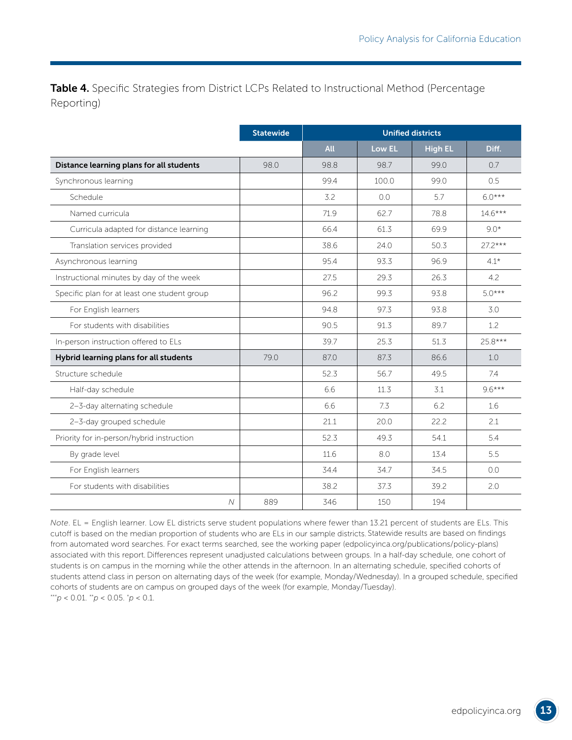Table 4. Specific Strategies from District LCPs Related to Instructional Method (Percentage Reporting)

|                                              | <b>Statewide</b> |      |        | <b>Unified districts</b> |           |
|----------------------------------------------|------------------|------|--------|--------------------------|-----------|
|                                              |                  | All  | Low EL | <b>High EL</b>           | Diff.     |
| Distance learning plans for all students     | 98.0             | 98.8 | 98.7   | 99.0                     | 0.7       |
| Synchronous learning                         |                  | 99.4 | 100.0  | 99.0                     | 0.5       |
| Schedule                                     |                  | 3.2  | 0.0    | 5.7                      | $6.0***$  |
| Named curricula                              |                  | 71.9 | 62.7   | 78.8                     | $14.6***$ |
| Curricula adapted for distance learning      |                  | 66.4 | 61.3   | 69.9                     | $9.0*$    |
| Translation services provided                |                  | 38.6 | 24.0   | 50.3                     | $27.2***$ |
| Asynchronous learning                        |                  | 95.4 | 93.3   | 96.9                     | $4.1*$    |
| Instructional minutes by day of the week     |                  | 27.5 | 29.3   | 26.3                     | 4.2       |
| Specific plan for at least one student group |                  | 96.2 | 99.3   | 93.8                     | $5.0***$  |
| For English learners                         |                  | 94.8 | 97.3   | 93.8                     | 3.0       |
| For students with disabilities               |                  | 90.5 | 91.3   | 89.7                     | 1.2       |
| In-person instruction offered to ELs         |                  | 39.7 | 25.3   | 51.3                     | 25.8***   |
| Hybrid learning plans for all students       | 79.0             | 87.0 | 87.3   | 86.6                     | 1.0       |
| Structure schedule                           |                  | 52.3 | 56.7   | 49.5                     | 7.4       |
| Half-day schedule                            |                  | 6.6  | 11.3   | 3.1                      | $9.6***$  |
| 2-3-day alternating schedule                 |                  | 6.6  | 7.3    | 6.2                      | 1.6       |
| 2-3-day grouped schedule                     |                  | 21.1 | 20.0   | 22.2                     | 2.1       |
| Priority for in-person/hybrid instruction    |                  | 52.3 | 49.3   | 54.1                     | 5.4       |
| By grade level                               |                  | 11.6 | 8.0    | 13.4                     | 5.5       |
| For English learners                         |                  | 34.4 | 34.7   | 34.5                     | 0.0       |
| For students with disabilities               |                  | 38.2 | 37.3   | 39.2                     | 2.0       |
| $\overline{N}$                               | 889              | 346  | 150    | 194                      |           |

*Note*. EL = English learner. Low EL districts serve student populations where fewer than 13.21 percent of students are ELs. This cutoff is based on the median proportion of students who are ELs in our sample districts. Statewide results are based on findings from automated word searches. For exact terms searched, see the working paper ([edpolicyinca.org/publications/policy-plans](http://edpolicyinca.org/publications/policy-plans)) associated with this report. Differences represent unadjusted calculations between groups. In a half-day schedule, one cohort of students is on campus in the morning while the other attends in the afternoon. In an alternating schedule, specified cohorts of students attend class in person on alternating days of the week (for example, Monday/Wednesday). In a grouped schedule, specified cohorts of students are on campus on grouped days of the week (for example, Monday/Tuesday). \*\*\**p* < 0.01. \*\**p* < 0.05. \* *p* < 0.1.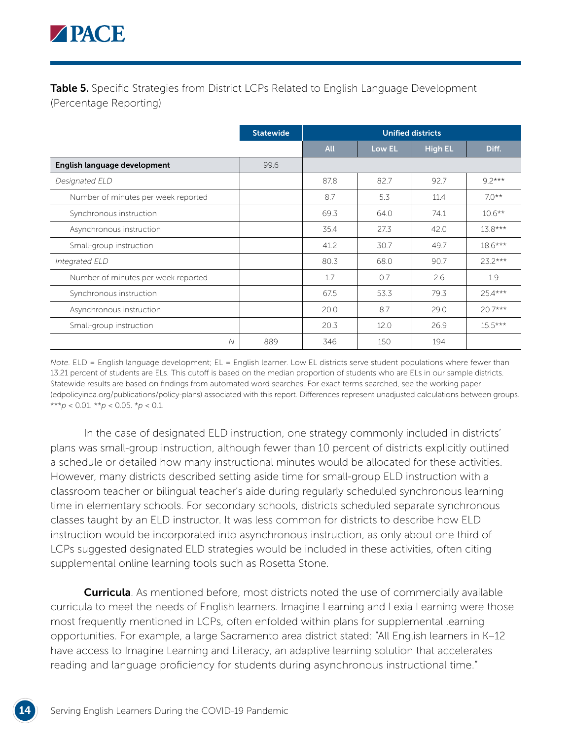

**Table 5.** Specific Strategies from District LCPs Related to English Language Development (Percentage Reporting)

|                                     | <b>Statewide</b> | <b>Unified districts</b> |        |                |           |
|-------------------------------------|------------------|--------------------------|--------|----------------|-----------|
|                                     |                  | <b>All</b>               | Low EL | <b>High EL</b> | Diff.     |
| English language development        | 99.6             |                          |        |                |           |
| Designated ELD                      |                  | 87.8                     | 82.7   | 92.7           | $9.2***$  |
| Number of minutes per week reported |                  | 8.7                      | 5.3    | 11.4           | $7.0**$   |
| Synchronous instruction             |                  | 69.3                     | 64.0   | 74.1           | $10.6***$ |
| Asynchronous instruction            |                  | 35.4                     | 27.3   | 42.0           | $13.8***$ |
| Small-group instruction             |                  | 41.2                     | 30.7   | 49.7           | $18.6***$ |
| Integrated ELD                      |                  | 80.3                     | 68.0   | 90.7           | $23.2***$ |
| Number of minutes per week reported |                  | 1.7                      | 0.7    | 2.6            | 1.9       |
| Synchronous instruction             |                  | 67.5                     | 53.3   | 79.3           | $25.4***$ |
| Asynchronous instruction            |                  | 20.0                     | 8.7    | 29.0           | $20.7***$ |
| Small-group instruction             |                  | 20.3                     | 12.0   | 26.9           | $15.5***$ |
| $\overline{\mathcal{N}}$            | 889              | 346                      | 150    | 194            |           |

*Note.* ELD = English language development; EL = English learner. Low EL districts serve student populations where fewer than 13.21 percent of students are ELs. This cutoff is based on the median proportion of students who are ELs in our sample districts. Statewide results are based on findings from automated word searches. For exact terms searched, see the working paper [\(edpolicyinca.org/publications/policy-plans](http://edpolicyinca.org/publications/policy-plans)) associated with this report. Differences represent unadjusted calculations between groups. \*\*\**p* < 0.01. \*\**p* < 0.05. \**p* < 0.1.

In the case of designated ELD instruction, one strategy commonly included in districts' plans was small-group instruction, although fewer than 10 percent of districts explicitly outlined a schedule or detailed how many instructional minutes would be allocated for these activities. However, many districts described setting aside time for small-group ELD instruction with a classroom teacher or bilingual teacher's aide during regularly scheduled synchronous learning time in elementary schools. For secondary schools, districts scheduled separate synchronous classes taught by an ELD instructor. It was less common for districts to describe how ELD instruction would be incorporated into asynchronous instruction, as only about one third of LCPs suggested designated ELD strategies would be included in these activities, often citing supplemental online learning tools such as Rosetta Stone.

**Curricula**. As mentioned before, most districts noted the use of commercially available curricula to meet the needs of English learners. Imagine Learning and Lexia Learning were those most frequently mentioned in LCPs, often enfolded within plans for supplemental learning opportunities. For example, a large Sacramento area district stated: "All English learners in K–12 have access to Imagine Learning and Literacy, an adaptive learning solution that accelerates reading and language proficiency for students during asynchronous instructional time."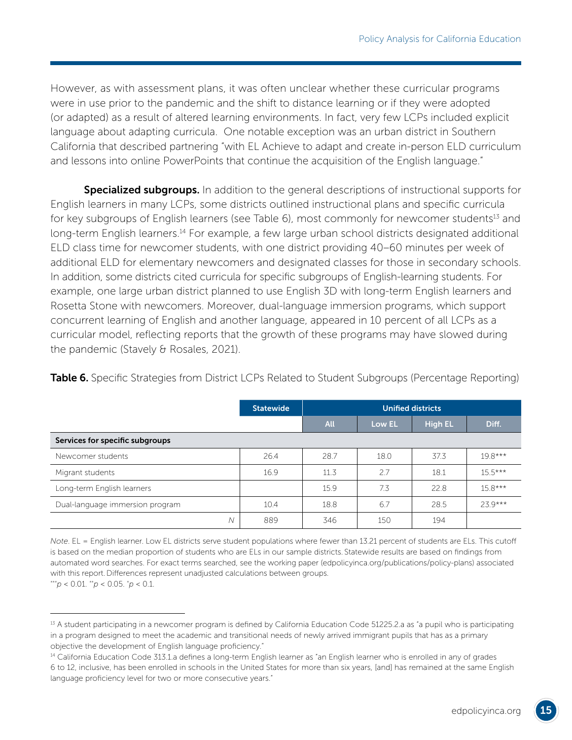However, as with assessment plans, it was often unclear whether these curricular programs were in use prior to the pandemic and the shift to distance learning or if they were adopted (or adapted) as a result of altered learning environments. In fact, very few LCPs included explicit language about adapting curricula. One notable exception was an urban district in Southern California that described partnering "with EL Achieve to adapt and create in-person ELD curriculum and lessons into online PowerPoints that continue the acquisition of the English language."

Specialized subgroups. In addition to the general descriptions of instructional supports for English learners in many LCPs, some districts outlined instructional plans and specific curricula for key subgroups of English learners (see Table 6), most commonly for newcomer students<sup>13</sup> and long-term English learners.<sup>14</sup> For example, a few large urban school districts designated additional ELD class time for newcomer students, with one district providing 40–60 minutes per week of additional ELD for elementary newcomers and designated classes for those in secondary schools. In addition, some districts cited curricula for specific subgroups of English-learning students. For example, one large urban district planned to use English 3D with long-term English learners and Rosetta Stone with newcomers. Moreover, dual-language immersion programs, which support concurrent learning of English and another language, appeared in 10 percent of all LCPs as a curricular model, reflecting reports that the growth of these programs may have slowed during the pandemic (Stavely & Rosales, 2021).

|                                 | <b>Statewide</b> | <b>Unified districts</b> |        |                |           |  |
|---------------------------------|------------------|--------------------------|--------|----------------|-----------|--|
|                                 |                  | <b>All</b>               | Low EL | <b>High EL</b> | Diff.     |  |
| Services for specific subgroups |                  |                          |        |                |           |  |
| Newcomer students               | 26.4             | 28.7                     | 18.0   | 37.3           | $19.8***$ |  |
| Migrant students                | 16.9             | 11.3                     | 2.7    | 18.1           | $15.5***$ |  |
| Long-term English learners      |                  | 15.9                     | 7.3    | 22.8           | $15.8***$ |  |
| Dual-language immersion program | 10.4             | 18.8                     | 6.7    | 28.5           | $239***$  |  |
| Ν                               | 889              | 346                      | 150    | 194            |           |  |

Table 6. Specific Strategies from District LCPs Related to Student Subgroups (Percentage Reporting)

*Note*. EL = English learner. Low EL districts serve student populations where fewer than 13.21 percent of students are ELs. This cutoff is based on the median proportion of students who are ELs in our sample districts. Statewide results are based on findings from automated word searches. For exact terms searched, see the working paper ([edpolicyinca.org/publications/policy-plans\)](http://edpolicyinca.org/publications/policy-plans) associated with this report. Differences represent unadjusted calculations between groups.

 $**'p < 0.01$ .  $*'p < 0.05$ .  $:p < 0.1$ .

<sup>&</sup>lt;sup>13</sup> A student participating in a newcomer program is defined by California Education Code 51225.2.a as "a pupil who is participating in a program designed to meet the academic and transitional needs of newly arrived immigrant pupils that has as a primary objective the development of English language proficiency."

<sup>&</sup>lt;sup>14</sup> California Education Code 313.1.a defines a long-term English learner as "an English learner who is enrolled in any of grades 6 to 12, inclusive, has been enrolled in schools in the United States for more than six years, [and] has remained at the same English language proficiency level for two or more consecutive years."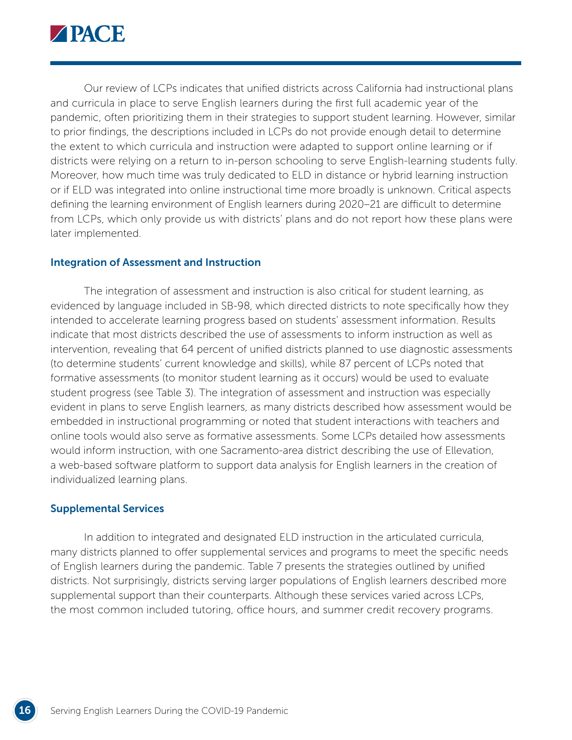

Our review of LCPs indicates that unified districts across California had instructional plans and curricula in place to serve English learners during the first full academic year of the pandemic, often prioritizing them in their strategies to support student learning. However, similar to prior findings, the descriptions included in LCPs do not provide enough detail to determine the extent to which curricula and instruction were adapted to support online learning or if districts were relying on a return to in-person schooling to serve English-learning students fully. Moreover, how much time was truly dedicated to ELD in distance or hybrid learning instruction or if ELD was integrated into online instructional time more broadly is unknown. Critical aspects defining the learning environment of English learners during 2020–21 are difficult to determine from LCPs, which only provide us with districts' plans and do not report how these plans were later implemented.

#### Integration of Assessment and Instruction

The integration of assessment and instruction is also critical for student learning, as evidenced by language included in SB-98, which directed districts to note specifically how they intended to accelerate learning progress based on students' assessment information. Results indicate that most districts described the use of assessments to inform instruction as well as intervention, revealing that 64 percent of unified districts planned to use diagnostic assessments (to determine students' current knowledge and skills), while 87 percent of LCPs noted that formative assessments (to monitor student learning as it occurs) would be used to evaluate student progress (see Table 3). The integration of assessment and instruction was especially evident in plans to serve English learners, as many districts described how assessment would be embedded in instructional programming or noted that student interactions with teachers and online tools would also serve as formative assessments. Some LCPs detailed how assessments would inform instruction, with one Sacramento-area district describing the use of Ellevation, a web-based software platform to support data analysis for English learners in the creation of individualized learning plans.

#### Supplemental Services

In addition to integrated and designated ELD instruction in the articulated curricula, many districts planned to offer supplemental services and programs to meet the specific needs of English learners during the pandemic. Table 7 presents the strategies outlined by unified districts. Not surprisingly, districts serving larger populations of English learners described more supplemental support than their counterparts. Although these services varied across LCPs, the most common included tutoring, office hours, and summer credit recovery programs.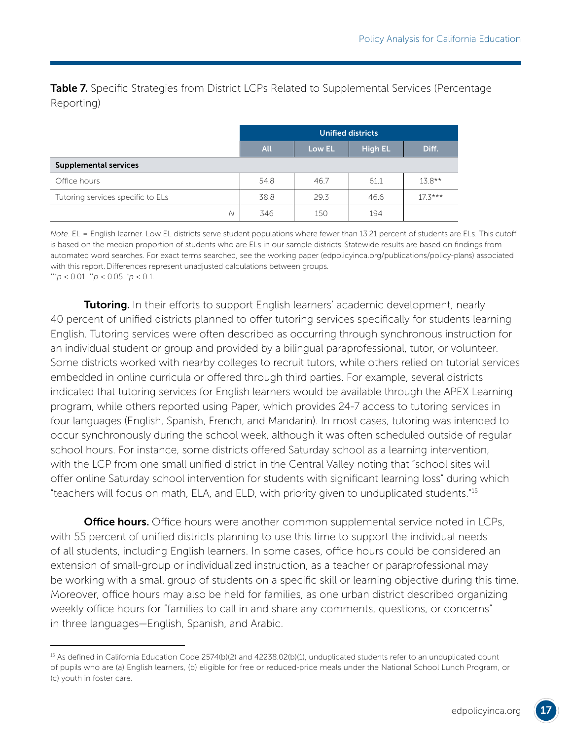**Table 7.** Specific Strategies from District LCPs Related to Supplemental Services (Percentage Reporting)

|                                   |            |        | <b>Unified districts</b> |           |
|-----------------------------------|------------|--------|--------------------------|-----------|
|                                   | <b>All</b> | Low EL | <b>High EL</b>           | Diff.     |
| <b>Supplemental services</b>      |            |        |                          |           |
| Office hours                      | 54.8       | 46.7   | 61.1                     | $13.8**$  |
| Tutoring services specific to ELs | 38.8       | 29.3   | 46.6                     | $17.3***$ |
| Ν                                 | 346        | 150    | 194                      |           |

*Note*. EL = English learner. Low EL districts serve student populations where fewer than 13.21 percent of students are ELs. This cutoff is based on the median proportion of students who are ELs in our sample districts. Statewide results are based on findings from automated word searches. For exact terms searched, see the working paper ([edpolicyinca.org/publications/policy-plans\)](http://edpolicyinca.org/publications/policy-plans) associated with this report. Differences represent unadjusted calculations between groups. \*\*\**p* < 0.01. \*\**p* < 0.05. \* *p* < 0.1.

**Tutoring.** In their efforts to support English learners' academic development, nearly 40 percent of unified districts planned to offer tutoring services specifically for students learning English. Tutoring services were often described as occurring through synchronous instruction for an individual student or group and provided by a bilingual paraprofessional, tutor, or volunteer. Some districts worked with nearby colleges to recruit tutors, while others relied on tutorial services embedded in online curricula or offered through third parties. For example, several districts indicated that tutoring services for English learners would be available through the APEX Learning program, while others reported using Paper, which provides 24-7 access to tutoring services in four languages (English, Spanish, French, and Mandarin). In most cases, tutoring was intended to occur synchronously during the school week, although it was often scheduled outside of regular school hours. For instance, some districts offered Saturday school as a learning intervention, with the LCP from one small unified district in the Central Valley noting that "school sites will offer online Saturday school intervention for students with significant learning loss" during which "teachers will focus on math, ELA, and ELD, with priority given to unduplicated students."15

**Office hours.** Office hours were another common supplemental service noted in LCPs, with 55 percent of unified districts planning to use this time to support the individual needs of all students, including English learners. In some cases, office hours could be considered an extension of small-group or individualized instruction, as a teacher or paraprofessional may be working with a small group of students on a specific skill or learning objective during this time. Moreover, office hours may also be held for families, as one urban district described organizing weekly office hours for "families to call in and share any comments, questions, or concerns" in three languages—English, Spanish, and Arabic.

<sup>&</sup>lt;sup>15</sup> As defined in California Education Code 2574(b)(2) and 42238.02(b)(1), unduplicated students refer to an unduplicated count of pupils who are (a) English learners, (b) eligible for free or reduced-price meals under the National School Lunch Program, or (c) youth in foster care.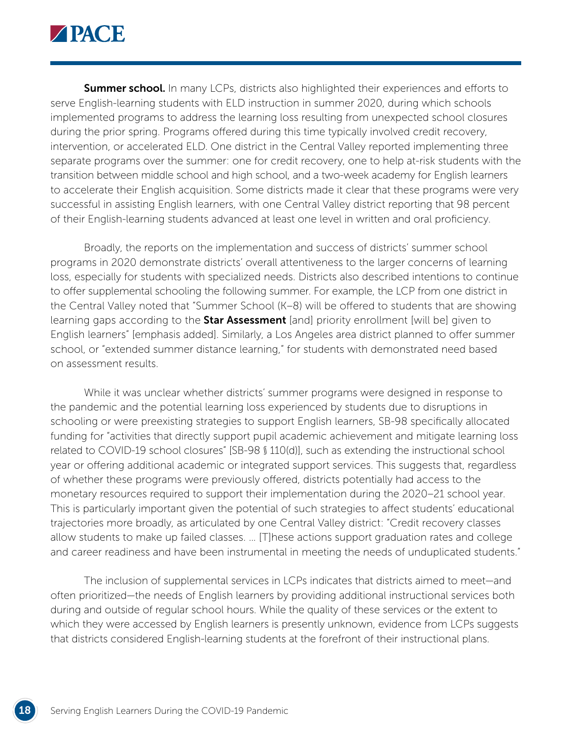

**Summer school.** In many LCPs, districts also highlighted their experiences and efforts to serve English-learning students with ELD instruction in summer 2020, during which schools implemented programs to address the learning loss resulting from unexpected school closures during the prior spring. Programs offered during this time typically involved credit recovery, intervention, or accelerated ELD. One district in the Central Valley reported implementing three separate programs over the summer: one for credit recovery, one to help at-risk students with the transition between middle school and high school, and a two-week academy for English learners to accelerate their English acquisition. Some districts made it clear that these programs were very successful in assisting English learners, with one Central Valley district reporting that 98 percent of their English-learning students advanced at least one level in written and oral proficiency.

Broadly, the reports on the implementation and success of districts' summer school programs in 2020 demonstrate districts' overall attentiveness to the larger concerns of learning loss, especially for students with specialized needs. Districts also described intentions to continue to offer supplemental schooling the following summer. For example, the LCP from one district in the Central Valley noted that "Summer School (K–8) will be offered to students that are showing learning gaps according to the **Star Assessment** [and] priority enrollment [will be] given to English learners" [emphasis added]. Similarly, a Los Angeles area district planned to offer summer school, or "extended summer distance learning," for students with demonstrated need based on assessment results.

While it was unclear whether districts' summer programs were designed in response to the pandemic and the potential learning loss experienced by students due to disruptions in schooling or were preexisting strategies to support English learners, SB-98 specifically allocated funding for "activities that directly support pupil academic achievement and mitigate learning loss related to COVID-19 school closures" [SB-98 § 110(d)], such as extending the instructional school year or offering additional academic or integrated support services. This suggests that, regardless of whether these programs were previously offered, districts potentially had access to the monetary resources required to support their implementation during the 2020–21 school year. This is particularly important given the potential of such strategies to affect students' educational trajectories more broadly, as articulated by one Central Valley district: "Credit recovery classes allow students to make up failed classes. … [T]hese actions support graduation rates and college and career readiness and have been instrumental in meeting the needs of unduplicated students."

The inclusion of supplemental services in LCPs indicates that districts aimed to meet—and often prioritized—the needs of English learners by providing additional instructional services both during and outside of regular school hours. While the quality of these services or the extent to which they were accessed by English learners is presently unknown, evidence from LCPs suggests that districts considered English-learning students at the forefront of their instructional plans.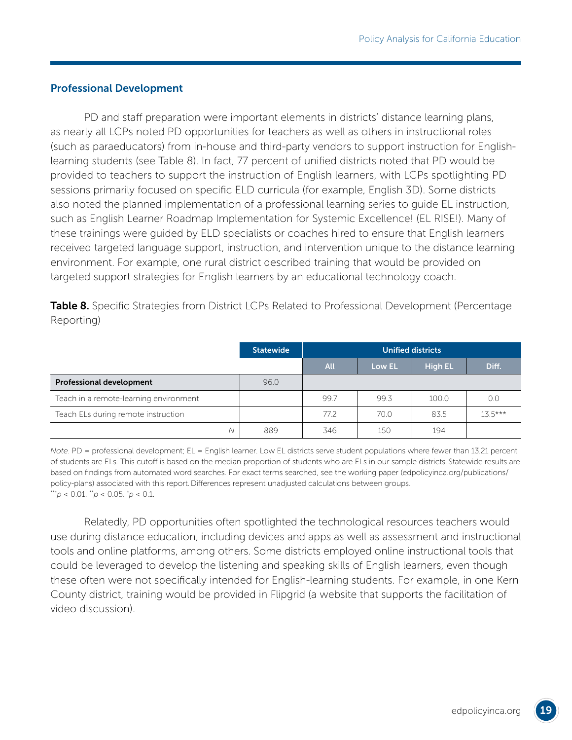#### Professional Development

PD and staff preparation were important elements in districts' distance learning plans, as nearly all LCPs noted PD opportunities for teachers as well as others in instructional roles (such as paraeducators) from in-house and third-party vendors to support instruction for Englishlearning students (see Table 8). In fact, 77 percent of unified districts noted that PD would be provided to teachers to support the instruction of English learners, with LCPs spotlighting PD sessions primarily focused on specific ELD curricula (for example, English 3D). Some districts also noted the planned implementation of a professional learning series to guide EL instruction, such as English Learner Roadmap Implementation for Systemic Excellence! (EL RISE!). Many of these trainings were guided by ELD specialists or coaches hired to ensure that English learners received targeted language support, instruction, and intervention unique to the distance learning environment. For example, one rural district described training that would be provided on targeted support strategies for English learners by an educational technology coach.

|            | Table 8. Specific Strategies from District LCPs Related to Professional Development (Percentage |
|------------|-------------------------------------------------------------------------------------------------|
| Reporting) |                                                                                                 |

|                                        | <b>Statewide</b> | <b>Unified districts</b> |        |                |           |
|----------------------------------------|------------------|--------------------------|--------|----------------|-----------|
|                                        |                  | <b>All</b>               | Low EL | <b>High EL</b> | Diff.     |
| <b>Professional development</b>        | 96.0             |                          |        |                |           |
| Teach in a remote-learning environment |                  | 99.7                     | 99.3   | 100.0          | 0.0       |
| Teach ELs during remote instruction    |                  | 77.2                     | 70.0   | 83.5           | $13.5***$ |
| N                                      | 889              | 346                      | 150    | 194            |           |

*Note*. PD = professional development; EL = English learner. Low EL districts serve student populations where fewer than 13.21 percent of students are ELs. This cutoff is based on the median proportion of students who are ELs in our sample districts. Statewide results are based on findings from automated word searches. For exact terms searched, see the working paper [\(edpolicyinca.org/publications/](http://edpolicyinca.org/publications/policy-plans) [policy-plans\)](http://edpolicyinca.org/publications/policy-plans) associated with this report.Differences represent unadjusted calculations between groups. \*\*\**p* < 0.01. \*\**p* < 0.05. \* *p* < 0.1.

Relatedly, PD opportunities often spotlighted the technological resources teachers would use during distance education, including devices and apps as well as assessment and instructional tools and online platforms, among others. Some districts employed online instructional tools that could be leveraged to develop the listening and speaking skills of English learners, even though these often were not specifically intended for English-learning students. For example, in one Kern County district, training would be provided in Flipgrid (a website that supports the facilitation of video discussion).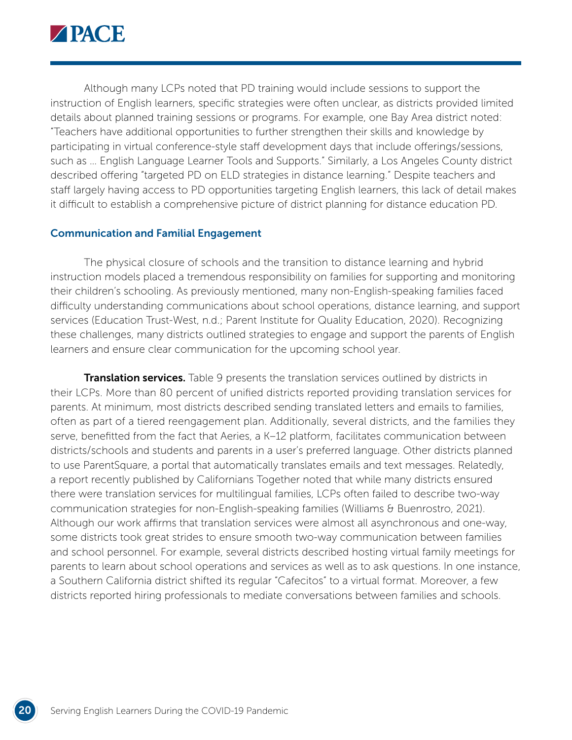

Although many LCPs noted that PD training would include sessions to support the instruction of English learners, specific strategies were often unclear, as districts provided limited details about planned training sessions or programs. For example, one Bay Area district noted: "Teachers have additional opportunities to further strengthen their skills and knowledge by participating in virtual conference-style staff development days that include offerings/sessions, such as … English Language Learner Tools and Supports." Similarly, a Los Angeles County district described offering "targeted PD on ELD strategies in distance learning." Despite teachers and staff largely having access to PD opportunities targeting English learners, this lack of detail makes it difficult to establish a comprehensive picture of district planning for distance education PD.

#### Communication and Familial Engagement

The physical closure of schools and the transition to distance learning and hybrid instruction models placed a tremendous responsibility on families for supporting and monitoring their children's schooling. As previously mentioned, many non-English-speaking families faced difficulty understanding communications about school operations, distance learning, and support services (Education Trust-West, n.d.; Parent Institute for Quality Education, 2020). Recognizing these challenges, many districts outlined strategies to engage and support the parents of English learners and ensure clear communication for the upcoming school year.

**Translation services.** Table 9 presents the translation services outlined by districts in their LCPs. More than 80 percent of unified districts reported providing translation services for parents. At minimum, most districts described sending translated letters and emails to families, often as part of a tiered reengagement plan. Additionally, several districts, and the families they serve, benefitted from the fact that Aeries, a K–12 platform, facilitates communication between districts/schools and students and parents in a user's preferred language. Other districts planned to use ParentSquare, a portal that automatically translates emails and text messages. Relatedly, a report recently published by Californians Together noted that while many districts ensured there were translation services for multilingual families, LCPs often failed to describe two-way communication strategies for non-English-speaking families (Williams & Buenrostro, 2021). Although our work affirms that translation services were almost all asynchronous and one-way, some districts took great strides to ensure smooth two-way communication between families and school personnel. For example, several districts described hosting virtual family meetings for parents to learn about school operations and services as well as to ask questions. In one instance, a Southern California district shifted its regular "Cafecitos" to a virtual format. Moreover, a few districts reported hiring professionals to mediate conversations between families and schools.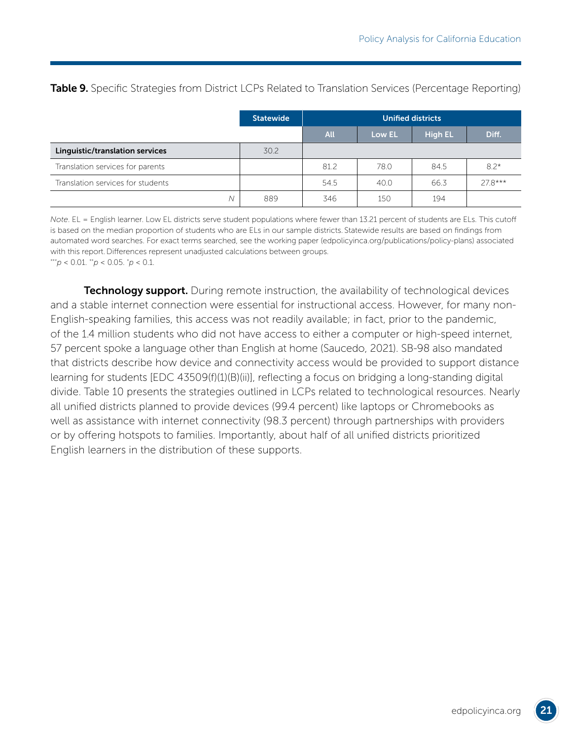**Table 9.** Specific Strategies from District LCPs Related to Translation Services (Percentage Reporting)

|                                   | <b>Statewide</b> | Unified districts |        |                |          |
|-----------------------------------|------------------|-------------------|--------|----------------|----------|
|                                   |                  | <b>All</b>        | Low EL | <b>High EL</b> | Diff.    |
| Linguistic/translation services   | 30.2             |                   |        |                |          |
| Translation services for parents  |                  | 81.2              | 78.0   | 84.5           | $8.2*$   |
| Translation services for students |                  | 54.5              | 40.0   | 66.3           | $278***$ |
| Ν                                 | 889              | 346               | 150    | 194            |          |

*Note*. EL = English learner. Low EL districts serve student populations where fewer than 13.21 percent of students are ELs. This cutoff is based on the median proportion of students who are ELs in our sample districts. Statewide results are based on findings from automated word searches. For exact terms searched, see the working paper ([edpolicyinca.org/publications/policy-plans\)](http://edpolicyinca.org/publications/policy-plans) associated with this report. Differences represent unadjusted calculations between groups.  $**'p < 0.01$ .  $*'p < 0.05$ .  $:p < 0.1$ .

**Technology support.** During remote instruction, the availability of technological devices and a stable internet connection were essential for instructional access. However, for many non-English-speaking families, this access was not readily available; in fact, prior to the pandemic, of the 1.4 million students who did not have access to either a computer or high-speed internet, 57 percent spoke a language other than English at home (Saucedo, 2021). SB-98 also mandated that districts describe how device and connectivity access would be provided to support distance learning for students [EDC 43509(f)(1)(B)(ii)], reflecting a focus on bridging a long-standing digital divide. Table 10 presents the strategies outlined in LCPs related to technological resources. Nearly all unified districts planned to provide devices (99.4 percent) like laptops or Chromebooks as well as assistance with internet connectivity (98.3 percent) through partnerships with providers or by offering hotspots to families. Importantly, about half of all unified districts prioritized English learners in the distribution of these supports.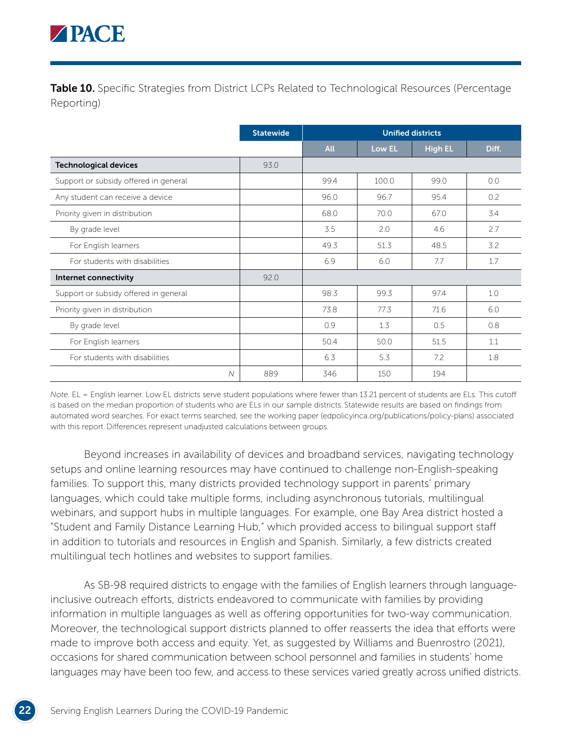

**Table 10.** Specific Strategies from District LCPs Related to Technological Resources (Percentage Reporting)

|                                       | <b>Statewide</b> | <b>Unified districts</b> |        |                |       |
|---------------------------------------|------------------|--------------------------|--------|----------------|-------|
|                                       |                  | <b>All</b>               | Low EL | <b>High EL</b> | Diff. |
| <b>Technological devices</b>          | 93.0             |                          |        |                |       |
| Support or subsidy offered in general |                  | 99.4                     | 100.0  | 99.0           | 0.0   |
| Any student can receive a device      |                  | 96.0                     | 96.7   | 95.4           | 0.2   |
| Priority given in distribution        |                  | 68.0                     | 70.0   | 67.0           | 3.4   |
| By grade level                        |                  | 3.5                      | 2.0    | 4.6            | 2.7   |
| For English learners                  |                  | 49.3                     | 51.3   | 48.5           | 3.2   |
| For students with disabilities        |                  | 6.9                      | 6.0    | 7.7            | 1.7   |
| Internet connectivity                 | 92.0             |                          |        |                |       |
| Support or subsidy offered in general |                  | 98.3                     | 99.3   | 97.4           | 1.0   |
| Priority given in distribution        |                  | 73.8                     | 77.3   | 71.6           | 6.0   |
| By grade level                        |                  | 0.9                      | 1.3    | 0.5            | 0.8   |
| For English learners                  |                  | 50.4                     | 50.0   | 51.5           | 1.1   |
| For students with disabilities        |                  | 6.3                      | 5.3    | 7.2            | 1.8   |
| N                                     | 889              | 346                      | 150    | 194            |       |

*Note*. EL = English learner. Low EL districts serve student populations where fewer than 13.21 percent of students are ELs. This cutoff is based on the median proportion of students who are ELs in our sample districts. Statewide results are based on findings from automated word searches. For exact terms searched, see the working paper ([edpolicyinca.org/publications/policy-plans\)](http://edpolicyinca.org/publications/policy-plans) associated with this report. Differences represent unadjusted calculations between groups.

Beyond increases in availability of devices and broadband services, navigating technology setups and online learning resources may have continued to challenge non-English-speaking families. To support this, many districts provided technology support in parents' primary languages, which could take multiple forms, including asynchronous tutorials, multilingual webinars, and support hubs in multiple languages. For example, one Bay Area district hosted a "Student and Family Distance Learning Hub," which provided access to bilingual support staff in addition to tutorials and resources in English and Spanish. Similarly, a few districts created multilingual tech hotlines and websites to support families.

As SB-98 required districts to engage with the families of English learners through languageinclusive outreach efforts, districts endeavored to communicate with families by providing information in multiple languages as well as offering opportunities for two-way communication. Moreover, the technological support districts planned to offer reasserts the idea that efforts were made to improve both access and equity. Yet, as suggested by Williams and Buenrostro (2021), occasions for shared communication between school personnel and families in students' home languages may have been too few, and access to these services varied greatly across unified districts.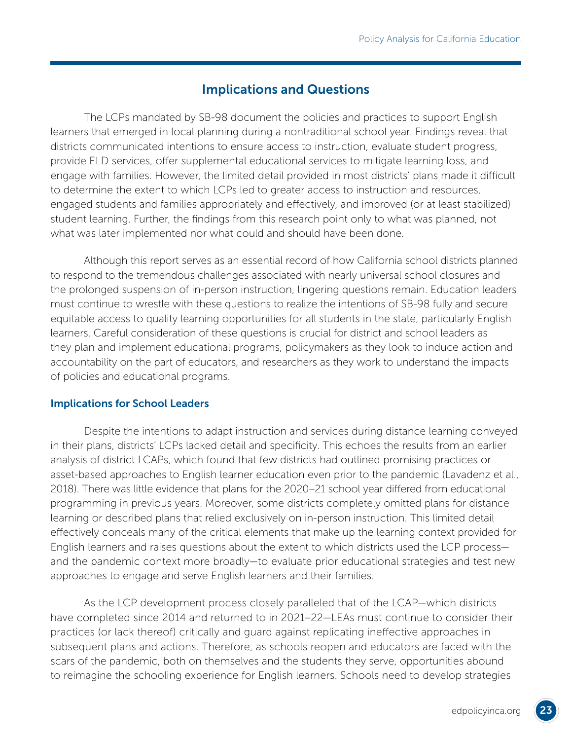## Implications and Questions

The LCPs mandated by SB-98 document the policies and practices to support English learners that emerged in local planning during a nontraditional school year. Findings reveal that districts communicated intentions to ensure access to instruction, evaluate student progress, provide ELD services, offer supplemental educational services to mitigate learning loss, and engage with families. However, the limited detail provided in most districts' plans made it difficult to determine the extent to which LCPs led to greater access to instruction and resources, engaged students and families appropriately and effectively, and improved (or at least stabilized) student learning. Further, the findings from this research point only to what was planned, not what was later implemented nor what could and should have been done.

Although this report serves as an essential record of how California school districts planned to respond to the tremendous challenges associated with nearly universal school closures and the prolonged suspension of in-person instruction, lingering questions remain. Education leaders must continue to wrestle with these questions to realize the intentions of SB-98 fully and secure equitable access to quality learning opportunities for all students in the state, particularly English learners. Careful consideration of these questions is crucial for district and school leaders as they plan and implement educational programs, policymakers as they look to induce action and accountability on the part of educators, and researchers as they work to understand the impacts of policies and educational programs.

#### Implications for School Leaders

Despite the intentions to adapt instruction and services during distance learning conveyed in their plans, districts' LCPs lacked detail and specificity. This echoes the results from an earlier analysis of district LCAPs, which found that few districts had outlined promising practices or asset-based approaches to English learner education even prior to the pandemic (Lavadenz et al., 2018). There was little evidence that plans for the 2020–21 school year differed from educational programming in previous years. Moreover, some districts completely omitted plans for distance learning or described plans that relied exclusively on in-person instruction. This limited detail effectively conceals many of the critical elements that make up the learning context provided for English learners and raises questions about the extent to which districts used the LCP process and the pandemic context more broadly—to evaluate prior educational strategies and test new approaches to engage and serve English learners and their families.

As the LCP development process closely paralleled that of the LCAP—which districts have completed since 2014 and returned to in 2021–22—LEAs must continue to consider their practices (or lack thereof) critically and guard against replicating ineffective approaches in subsequent plans and actions. Therefore, as schools reopen and educators are faced with the scars of the pandemic, both on themselves and the students they serve, opportunities abound to reimagine the schooling experience for English learners. Schools need to develop strategies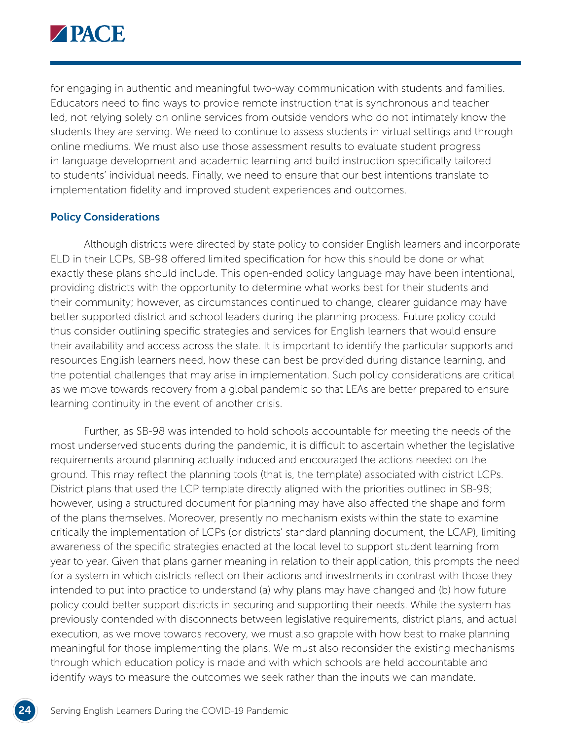

for engaging in authentic and meaningful two-way communication with students and families. Educators need to find ways to provide remote instruction that is synchronous and teacher led, not relying solely on online services from outside vendors who do not intimately know the students they are serving. We need to continue to assess students in virtual settings and through online mediums. We must also use those assessment results to evaluate student progress in language development and academic learning and build instruction specifically tailored to students' individual needs. Finally, we need to ensure that our best intentions translate to implementation fidelity and improved student experiences and outcomes.

#### Policy Considerations

Although districts were directed by state policy to consider English learners and incorporate ELD in their LCPs, SB-98 offered limited specification for how this should be done or what exactly these plans should include. This open-ended policy language may have been intentional, providing districts with the opportunity to determine what works best for their students and their community; however, as circumstances continued to change, clearer guidance may have better supported district and school leaders during the planning process. Future policy could thus consider outlining specific strategies and services for English learners that would ensure their availability and access across the state. It is important to identify the particular supports and resources English learners need, how these can best be provided during distance learning, and the potential challenges that may arise in implementation. Such policy considerations are critical as we move towards recovery from a global pandemic so that LEAs are better prepared to ensure learning continuity in the event of another crisis.

Further, as SB-98 was intended to hold schools accountable for meeting the needs of the most underserved students during the pandemic, it is difficult to ascertain whether the legislative requirements around planning actually induced and encouraged the actions needed on the ground. This may reflect the planning tools (that is, the template) associated with district LCPs. District plans that used the LCP template directly aligned with the priorities outlined in SB-98; however, using a structured document for planning may have also affected the shape and form of the plans themselves. Moreover, presently no mechanism exists within the state to examine critically the implementation of LCPs (or districts' standard planning document, the LCAP), limiting awareness of the specific strategies enacted at the local level to support student learning from year to year. Given that plans garner meaning in relation to their application, this prompts the need for a system in which districts reflect on their actions and investments in contrast with those they intended to put into practice to understand (a) why plans may have changed and (b) how future policy could better support districts in securing and supporting their needs. While the system has previously contended with disconnects between legislative requirements, district plans, and actual execution, as we move towards recovery, we must also grapple with how best to make planning meaningful for those implementing the plans. We must also reconsider the existing mechanisms through which education policy is made and with which schools are held accountable and identify ways to measure the outcomes we seek rather than the inputs we can mandate.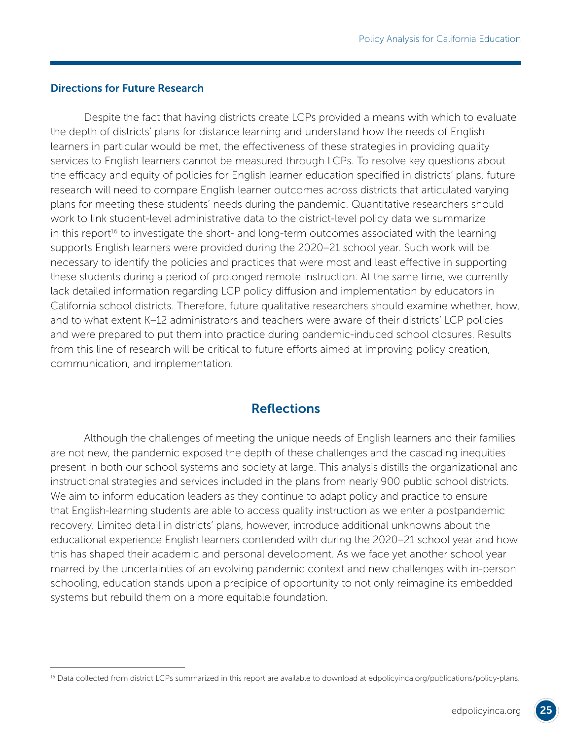#### Directions for Future Research

Despite the fact that having districts create LCPs provided a means with which to evaluate the depth of districts' plans for distance learning and understand how the needs of English learners in particular would be met, the effectiveness of these strategies in providing quality services to English learners cannot be measured through LCPs. To resolve key questions about the efficacy and equity of policies for English learner education specified in districts' plans, future research will need to compare English learner outcomes across districts that articulated varying plans for meeting these students' needs during the pandemic. Quantitative researchers should work to link student-level administrative data to the district-level policy data we summarize in this report<sup>16</sup> to investigate the short- and long-term outcomes associated with the learning supports English learners were provided during the 2020–21 school year. Such work will be necessary to identify the policies and practices that were most and least effective in supporting these students during a period of prolonged remote instruction. At the same time, we currently lack detailed information regarding LCP policy diffusion and implementation by educators in California school districts. Therefore, future qualitative researchers should examine whether, how, and to what extent K–12 administrators and teachers were aware of their districts' LCP policies and were prepared to put them into practice during pandemic-induced school closures. Results from this line of research will be critical to future efforts aimed at improving policy creation, communication, and implementation.

## **Reflections**

Although the challenges of meeting the unique needs of English learners and their families are not new, the pandemic exposed the depth of these challenges and the cascading inequities present in both our school systems and society at large. This analysis distills the organizational and instructional strategies and services included in the plans from nearly 900 public school districts. We aim to inform education leaders as they continue to adapt policy and practice to ensure that English-learning students are able to access quality instruction as we enter a postpandemic recovery. Limited detail in districts' plans, however, introduce additional unknowns about the educational experience English learners contended with during the 2020–21 school year and how this has shaped their academic and personal development. As we face yet another school year marred by the uncertainties of an evolving pandemic context and new challenges with in-person schooling, education stands upon a precipice of opportunity to not only reimagine its embedded systems but rebuild them on a more equitable foundation.

<sup>&</sup>lt;sup>16</sup> Data collected from district LCPs summarized in this report are available to download at [edpolicyinca.org/publications/policy-plans.](http://edpolicyinca.org/publications/policy-plans)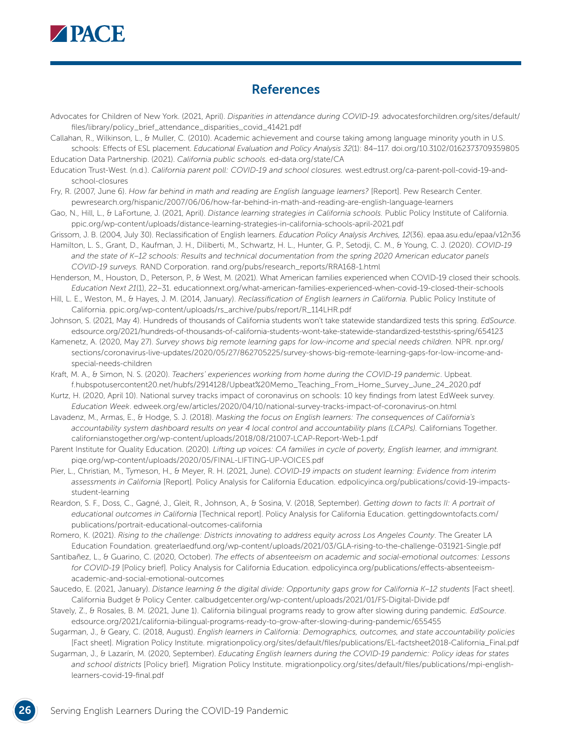

## References

- Advocates for Children of New York. (2021, April). *Disparities in attendance during COVID-19.* [advocatesforchildren.org/sites/default/](http://advocatesforchildren.org/sites/default/files/library/policy_brief_attendance_disparities_covid_41421) [files/library/policy\\_brief\\_attendance\\_disparities\\_covid\\_41421.pdf](http://advocatesforchildren.org/sites/default/files/library/policy_brief_attendance_disparities_covid_41421)
- Callahan, R., Wilkinson, L., & Muller, C. (2010). Academic achievement and course taking among language minority youth in U.S. schools: Effects of ESL placement. *Educational Evaluation and Policy Analysis 32*(1): 84–117. [doi.org/10.3102/0162373709359805](https://doi.org/10.3102%2F0162373709359805) Education Data Partnership. (2021). *California public schools.* [ed-data.org/state/CA](http://www.ed-data.org/state/CA)
- Education Trust-West. (n.d.). *California parent poll: COVID-19 and school closures.* [west.edtrust.org/ca-parent-poll-covid-19-and](https://west.edtrust.org/ca-parent-poll-covid-19-and-school-closures)[school-closures](https://west.edtrust.org/ca-parent-poll-covid-19-and-school-closures)
- Fry, R. (2007, June 6). How far behind in math and reading are English language learners? [Report]. Pew Research Center. [pewresearch.org/hispanic/2007/06/06/how-far-behind-in-math-and-reading-are-english-language-learners](https://www.pewresearch.org/hispanic/2007/06/06/how-far-behind-in-math-and-reading-are-english-language-learners/)
- Gao, N., Hill, L., & LaFortune, J. (2021, April). *Distance learning strategies in California schools.* Public Policy Institute of California. [ppic.org/wp-content/uploads/distance-learning-strategies-in-california-schools-april-2021.pdf](https://www.ppic.org/wp-content/uploads/distance-learning-strategies-in-california-schools-april-2021.pdf)
- Grissom, J. B. (2004, July 30). Reclassification of English learners. *Education Policy Analysis Archives, 12*(36). [epaa.asu.edu/epaa/v12n36](http://epaa.asu.edu/epaa/v12n36/)
- Hamilton, L. S., Grant, D., Kaufman, J. H., Diliberti, M., Schwartz, H. L., Hunter, G. P., Setodji, C. M., & Young, C. J. (2020). *COVID-19*  and the state of K-12 schools: Results and technical documentation from the spring 2020 American educator panels *COVID-19 surveys.* RAND Corporation. [rand.org/pubs/research\\_reports/RRA168-1.html](https://www.rand.org/pubs/research_reports/RRA168-1.html)
- Henderson, M., Houston, D., Peterson, P., & West, M. (2021). What American families experienced when COVID-19 closed their schools. *Education Next 21*(1), 22–31. [educationnext.org/what-american-families-experienced-when-covid-19-closed-their-schools](https://www.educationnext.org/what-american-families-experienced-when-covid-19-closed-their-schools/)
- Hill, L. E., Weston, M., & Hayes, J. M. (2014, January). *Reclassification of English learners in California.* Public Policy Institute of California. [ppic.org/wp-content/uploads/rs\\_archive/pubs/report/R\\_114LHR.pdf](http://ppic.org/wp-content/uploads/rs_archive/pubs/report/R_114LHR.pdf)
- Johnson, S. (2021, May 4). Hundreds of thousands of California students won't take statewide standardized tests this spring. *EdSource*. [edsource.org/2021/hundreds-of-thousands-of-california-students-wont-take-statewide-standardized-teststhis-spring/654123](https://edsource.org/2021/hundreds-of-thousands-of-california-students-wont-take-statewide-standardized-teststhis-spring/654123)
- Kamenetz, A. (2020, May 27). *Survey shows big remote learning gaps for low-income and special needs children.* NPR. [npr.org/](https://www.npr.org/sections/coronavirus-live-updates/2020/05/27/862705225/survey-shows-big-remote-learning-gaps-for-low-income-and-special-needs-children) [sections/coronavirus-live-updates/2020/05/27/862705225/survey-shows-big-remote-learning-gaps-for-low-income-and](https://www.npr.org/sections/coronavirus-live-updates/2020/05/27/862705225/survey-shows-big-remote-learning-gaps-for-low-income-and-special-needs-children)[special-needs-children](https://www.npr.org/sections/coronavirus-live-updates/2020/05/27/862705225/survey-shows-big-remote-learning-gaps-for-low-income-and-special-needs-children)
- Kraft, M. A., & Simon, N. S. (2020). *Teachers' experiences working from home during the COVID-19 pandemic*. Upbeat. [f.hubspotusercontent20.net/hubfs/2914128/Upbeat%20Memo\\_Teaching\\_From\\_Home\\_Survey\\_June\\_24\\_2020.pdf](https://f.hubspotusercontent20.net/hubfs/2914128/Upbeat%20Memo_Teaching_From_Home_Survey_June_24_2020.pdf)
- Kurtz, H. (2020, April 10). National survey tracks impact of coronavirus on schools: 10 key findings from latest EdWeek survey. *Education Week*. [edweek.org/ew/articles/2020/04/10/national-survey-tracks-impact-of-coronavirus-on.html](https://www.edweek.org/ew/articles/2020/04/10/national-survey-tracks-impact-of-coronavirus-on.html)
- Lavadenz, M., Armas, E., & Hodge, S. J. (2018). *Masking the focus on English learners: The consequences of California's accountability system dashboard results on year 4 local control and accountability plans (LCAPs).* Californians Together. [californianstogether.org/wp-content/uploads/2018/08/21007-LCAP-Report-Web-1.pdf](https://californianstogether.org/wp-content/uploads/2018/08/21007-LCAP-Report-Web-1.pdf)
- Parent Institute for Quality Education. (2020). *Lifting up voices: CA families in cycle of poverty, English learner, and immigrant.*  [piqe.org/wp-content/uploads/2020/05/FINAL-LIFTING-UP-VOICES.pdf](https://www.piqe.org/wp-content/uploads/2020/05/FINAL-LIFTING-UP-VOICES.pdf)
- Pier, L., Christian, M., Tymeson, H., & Meyer, R. H. (2021, June). *COVID-19 impacts on student learning: Evidence from interim assessments in California* [Report]*.* Policy Analysis for California Education. [edpolicyinca.org/publications/covid-19-impacts](https://edpolicyinca.org/publications/covid-19-impacts-student-learning)[student-learning](https://edpolicyinca.org/publications/covid-19-impacts-student-learning)
- Reardon, S. F., Doss, C., Gagné, J., Gleit, R., Johnson, A., & Sosina, V. (2018, September). *Getting down to facts II: A portrait of educational outcomes in California* [Technical report]. Policy Analysis for California Education. [gettingdowntofacts.com/](http://gettingdowntofacts.com/publications/portrait-educational-outcomes-california) [publications/portrait-educational-outcomes-california](http://gettingdowntofacts.com/publications/portrait-educational-outcomes-california)
- Romero, K. (2021). *Rising to the challenge: Districts innovating to address equity across Los Angeles County*. The Greater LA Education Foundation. [greaterlaedfund.org/wp-content/uploads/2021/03/GLA-rising-to-the-challenge-031921-Single.pdf](https://www.greaterlaedfund.org/wp-content/uploads/2021/03/GLA-rising-to-the-challenge-031921-Single.pdf)
- Santibañez, L., & Guarino, C. (2020, October). *The effects of absenteeism on academic and social-emotional outcomes: Lessons for COVID-19* [Policy brief]*.* Policy Analysis for California Education. [edpolicyinca.org/publications/effects-absenteeism](https://edpolicyinca.org/publications/effects-absenteeism-academic-and-social-emotional-outcomes)[academic-and-social-emotional-outcomes](https://edpolicyinca.org/publications/effects-absenteeism-academic-and-social-emotional-outcomes)
- Saucedo, E. (2021, January). *Distance learning & the digital divide: Opportunity gaps grow for California K-12 students* [Fact sheet]. California Budget & Policy Center. [calbudgetcenter.org/wp-content/uploads/2021/01/FS-Digital-Divide.pdf](http://calbudgetcenter.org/wp-content/uploads/2021/01/FS-Digital-Divide.pdf)
- Stavely, Z., & Rosales, B. M. (2021, June 1). California bilingual programs ready to grow after slowing during pandemic*. EdSource*. [edsource.org/2021/california-bilingual-programs-ready-to-grow-after-slowing-during-pandemic/655455](http://edsource.org/2021/california-bilingual-programs-ready-to-grow-after-slowing-during-pandemic/655455)
- Sugarman, J., & Geary, C. (2018, August). *English learners in California: Demographics, outcomes, and state accountability policies*  [Fact sheet]. Migration Policy Institute. [migrationpolicy.org/sites/default/files/publications/EL-factsheet2018-California\\_Final.pdf](https://www.migrationpolicy.org/sites/default/files/publications/EL-factsheet2018-California_Final.pdf)
- Sugarman, J., & Lazarín, M. (2020, September). *Educating English learners during the COVID-19 pandemic: Policy ideas for states and school districts* [Policy brief]*.* Migration Policy Institute. [migrationpolicy.org/sites/default/files/publications/mpi-english](http://migrationpolicy.org/sites/default/files/publications/mpi-english-learners-covid-19-final.pdf)[learners-covid-19-final.pdf](http://migrationpolicy.org/sites/default/files/publications/mpi-english-learners-covid-19-final.pdf)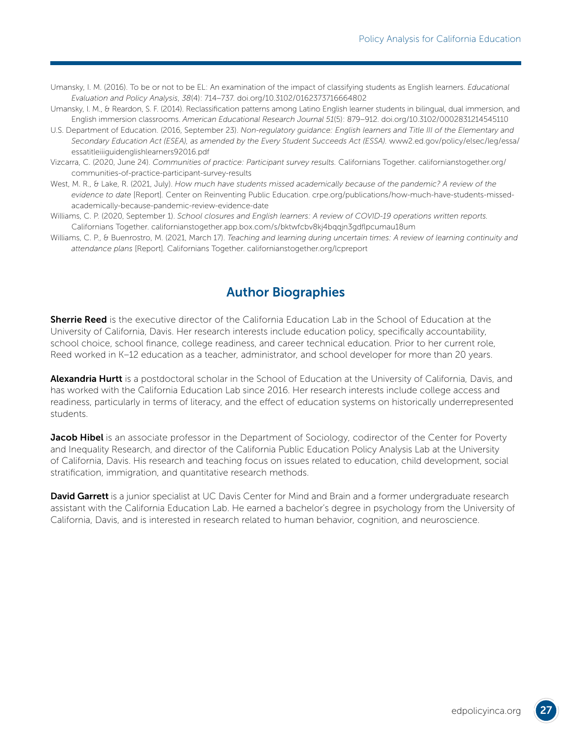- Umansky, I. M. (2016). To be or not to be EL: An examination of the impact of classifying students as English learners. *Educational Evaluation and Policy Analysis*, *38*(4): 714–737. [doi.org/10.3102/0162373716664802](https://doi.org/10.3102%2F0162373716664802)
- Umansky, I. M., & Reardon, S. F. (2014). Reclassification patterns among Latino English learner students in bilingual, dual immersion, and English immersion classrooms. *American Educational Research Journal 51*(5): 879–912. [doi.org/10.3102/0002831214545110](https://doi.org/10.3102%2F0002831214545110)
- U.S. Department of Education. (2016, September 23). *Non-regulatory guidance: English learners and Title III of the Elementary and Secondary Education Act (ESEA), as amended by the Every Student Succeeds Act (ESSA).* [www2.ed.gov/policy/elsec/leg/essa/](https://www2.ed.gov/policy/elsec/leg/essa/essatitleiiiguidenglishlearners92016.pdf) [essatitleiiiguidenglishlearners92016.pdf](https://www2.ed.gov/policy/elsec/leg/essa/essatitleiiiguidenglishlearners92016.pdf)
- Vizcarra, C. (2020, June 24). *Communities of practice: Participant survey results.* Californians Together. [californianstogether.org/](https://www.californianstogether.org/communities-of-practice-participant-survey-results) [communities-of-practice-participant-survey-results](https://www.californianstogether.org/communities-of-practice-participant-survey-results)
- West, M. R., & Lake, R. (2021, July). How much have students missed academically because of the pandemic? A review of the *evidence to date* [Report]*.* Center on Reinventing Public Education. [crpe.org/publications/how-much-have-students-missed](https://www.crpe.org/publications/how-much-have-students-missed-academically-because-pandemic-review-evidence-date)[academically-because-pandemic-review-evidence-date](https://www.crpe.org/publications/how-much-have-students-missed-academically-because-pandemic-review-evidence-date)
- Williams, C. P. (2020, September 1). *School closures and English learners: A review of COVID-19 operations written reports.* Californians Together. [californianstogether.app.box.com/s/bktwfcbv8kj4bqqjn3gdflpcumau18um](https://californianstogether.app.box.com/s/bktwfcbv8kj4bqqjn3gdflpcumau18um)
- Williams, C. P., & Buenrostro, M. (2021, March 17). *Teaching and learning during uncertain times: A review of learning continuity and attendance plans* [Report]*.* Californians Together. [californianstogether.org/lcpreport](https://www.californianstogether.org/lcpreport/)

## Author Biographies

**Sherrie Reed** is the executive director of the California Education Lab in the School of Education at the University of California, Davis. Her research interests include education policy, specifically accountability, school choice, school finance, college readiness, and career technical education. Prior to her current role, Reed worked in K–12 education as a teacher, administrator, and school developer for more than 20 years.

Alexandria Hurtt is a postdoctoral scholar in the School of Education at the University of California, Davis, and has worked with the California Education Lab since 2016. Her research interests include college access and readiness, particularly in terms of literacy, and the effect of education systems on historically underrepresented students.

**Jacob Hibel** is an associate professor in the Department of Sociology, codirector of the Center for Poverty and Inequality Research, and director of the California Public Education Policy Analysis Lab at the University of California, Davis. His research and teaching focus on issues related to education, child development, social stratification, immigration, and quantitative research methods.

**David Garrett** is a junior specialist at UC Davis Center for Mind and Brain and a former undergraduate research assistant with the California Education Lab. He earned a bachelor's degree in psychology from the University of California, Davis, and is interested in research related to human behavior, cognition, and neuroscience.